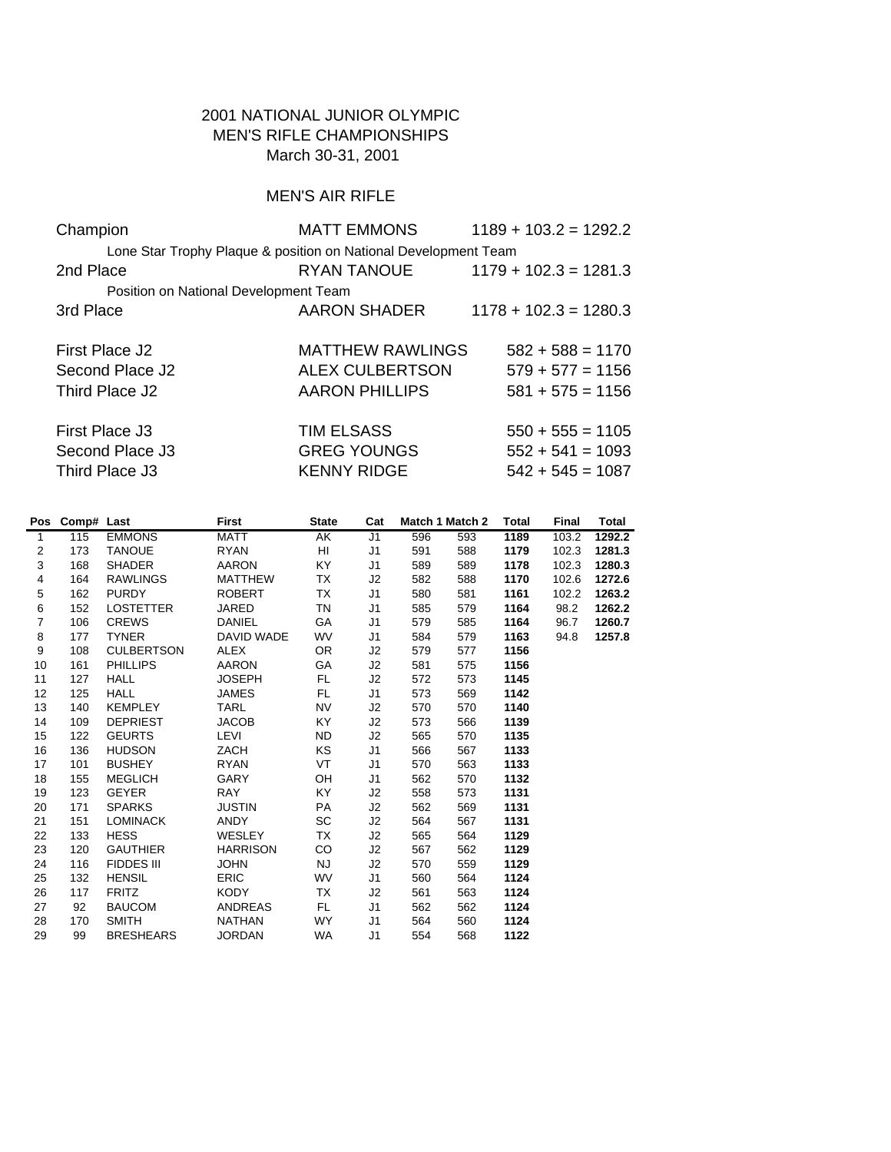## 2001 NATIONAL JUNIOR OLYMPIC MEN'S RIFLE CHAMPIONSHIPS March 30-31, 2001

# MEN'S AIR RIFLE

| Champion                                                        | <b>MATT EMMONS</b>      | $1189 + 103.2 = 1292.2$ |
|-----------------------------------------------------------------|-------------------------|-------------------------|
| Lone Star Trophy Plaque & position on National Development Team |                         |                         |
| 2nd Place                                                       | RYAN TANOUE             | $1179 + 102.3 = 1281.3$ |
| Position on National Development Team                           |                         |                         |
| 3rd Place                                                       | AARON SHADER            | $1178 + 102.3 = 1280.3$ |
|                                                                 |                         |                         |
| First Place J2                                                  | <b>MATTHEW RAWLINGS</b> | $582 + 588 = 1170$      |
| Second Place J2                                                 | <b>ALEX CULBERTSON</b>  | $579 + 577 = 1156$      |
| Third Place J2                                                  | <b>AARON PHILLIPS</b>   | $581 + 575 = 1156$      |
|                                                                 |                         |                         |
| First Place J3                                                  | <b>TIM ELSASS</b>       | $550 + 555 = 1105$      |
| Second Place J3                                                 | <b>GREG YOUNGS</b>      | $552 + 541 = 1093$      |
| Third Place J3                                                  | <b>KENNY RIDGE</b>      | $542 + 545 = 1087$      |
|                                                                 |                         |                         |

|                | Pos Comp# Last |                   | First           | <b>State</b> | Cat            | Match 1 Match 2 |     | <b>Total</b> | <b>Final</b> | Total  |
|----------------|----------------|-------------------|-----------------|--------------|----------------|-----------------|-----|--------------|--------------|--------|
| $\mathbf{1}$   | 115            | <b>EMMONS</b>     | <b>MATT</b>     | AK           | J <sub>1</sub> | 596             | 593 | 1189         | 103.2        | 1292.2 |
| $\overline{2}$ | 173            | <b>TANOUE</b>     | <b>RYAN</b>     | HI.          | J <sub>1</sub> | 591             | 588 | 1179         | 102.3        | 1281.3 |
| 3              | 168            | <b>SHADER</b>     | <b>AARON</b>    | <b>KY</b>    | J <sub>1</sub> | 589             | 589 | 1178         | 102.3        | 1280.3 |
| 4              | 164            | <b>RAWLINGS</b>   | <b>MATTHEW</b>  | TX           | J2             | 582             | 588 | 1170         | 102.6        | 1272.6 |
| 5              | 162            | <b>PURDY</b>      | <b>ROBERT</b>   | TX           | J <sub>1</sub> | 580             | 581 | 1161         | 102.2        | 1263.2 |
| 6              | 152            | <b>LOSTETTER</b>  | <b>JARED</b>    | TN           | J <sub>1</sub> | 585             | 579 | 1164         | 98.2         | 1262.2 |
| $\overline{7}$ | 106            | <b>CREWS</b>      | <b>DANIEL</b>   | GA           | J <sub>1</sub> | 579             | 585 | 1164         | 96.7         | 1260.7 |
| 8              | 177            | <b>TYNER</b>      | DAVID WADE      | <b>WV</b>    | J <sub>1</sub> | 584             | 579 | 1163         | 94.8         | 1257.8 |
| 9              | 108            | <b>CULBERTSON</b> | <b>ALEX</b>     | OR.          | J2             | 579             | 577 | 1156         |              |        |
| 10             | 161            | <b>PHILLIPS</b>   | <b>AARON</b>    | GA           | J2             | 581             | 575 | 1156         |              |        |
| 11             | 127            | <b>HALL</b>       | <b>JOSEPH</b>   | FL.          | J2             | 572             | 573 | 1145         |              |        |
| 12             | 125            | <b>HALL</b>       | <b>JAMES</b>    | FL.          | J <sub>1</sub> | 573             | 569 | 1142         |              |        |
| 13             | 140            | <b>KEMPLEY</b>    | <b>TARL</b>     | <b>NV</b>    | J2             | 570             | 570 | 1140         |              |        |
| 14             | 109            | <b>DEPRIEST</b>   | <b>JACOB</b>    | KY.          | J2             | 573             | 566 | 1139         |              |        |
| 15             | 122            | <b>GEURTS</b>     | <b>LEVI</b>     | <b>ND</b>    | J2             | 565             | 570 | 1135         |              |        |
| 16             | 136            | <b>HUDSON</b>     | ZACH            | <b>KS</b>    | J <sub>1</sub> | 566             | 567 | 1133         |              |        |
| 17             | 101            | <b>BUSHEY</b>     | <b>RYAN</b>     | <b>VT</b>    | J <sub>1</sub> | 570             | 563 | 1133         |              |        |
| 18             | 155            | <b>MEGLICH</b>    | <b>GARY</b>     | OH           | J <sub>1</sub> | 562             | 570 | 1132         |              |        |
| 19             | 123            | <b>GEYER</b>      | <b>RAY</b>      | KY.          | J2             | 558             | 573 | 1131         |              |        |
| 20             | 171            | <b>SPARKS</b>     | <b>JUSTIN</b>   | PA           | J2             | 562             | 569 | 1131         |              |        |
| 21             | 151            | <b>LOMINACK</b>   | <b>ANDY</b>     | <b>SC</b>    | J2             | 564             | 567 | 1131         |              |        |
| 22             | 133            | <b>HESS</b>       | <b>WESLEY</b>   | TX           | J2             | 565             | 564 | 1129         |              |        |
| 23             | 120            | <b>GAUTHIER</b>   | <b>HARRISON</b> | CO           | J2             | 567             | 562 | 1129         |              |        |
| 24             | 116            | <b>FIDDES III</b> | <b>JOHN</b>     | NJ           | J2             | 570             | 559 | 1129         |              |        |
| 25             | 132            | <b>HENSIL</b>     | <b>ERIC</b>     | <b>WV</b>    | J <sub>1</sub> | 560             | 564 | 1124         |              |        |
| 26             | 117            | <b>FRITZ</b>      | KODY.           | TX           | J2             | 561             | 563 | 1124         |              |        |
| 27             | 92             | <b>BAUCOM</b>     | <b>ANDREAS</b>  | FL.          | J <sub>1</sub> | 562             | 562 | 1124         |              |        |
| 28             | 170            | <b>SMITH</b>      | <b>NATHAN</b>   | <b>WY</b>    | J <sub>1</sub> | 564             | 560 | 1124         |              |        |
| 29             | 99             | <b>BRESHEARS</b>  | <b>JORDAN</b>   | <b>WA</b>    | J <sub>1</sub> | 554             | 568 | 1122         |              |        |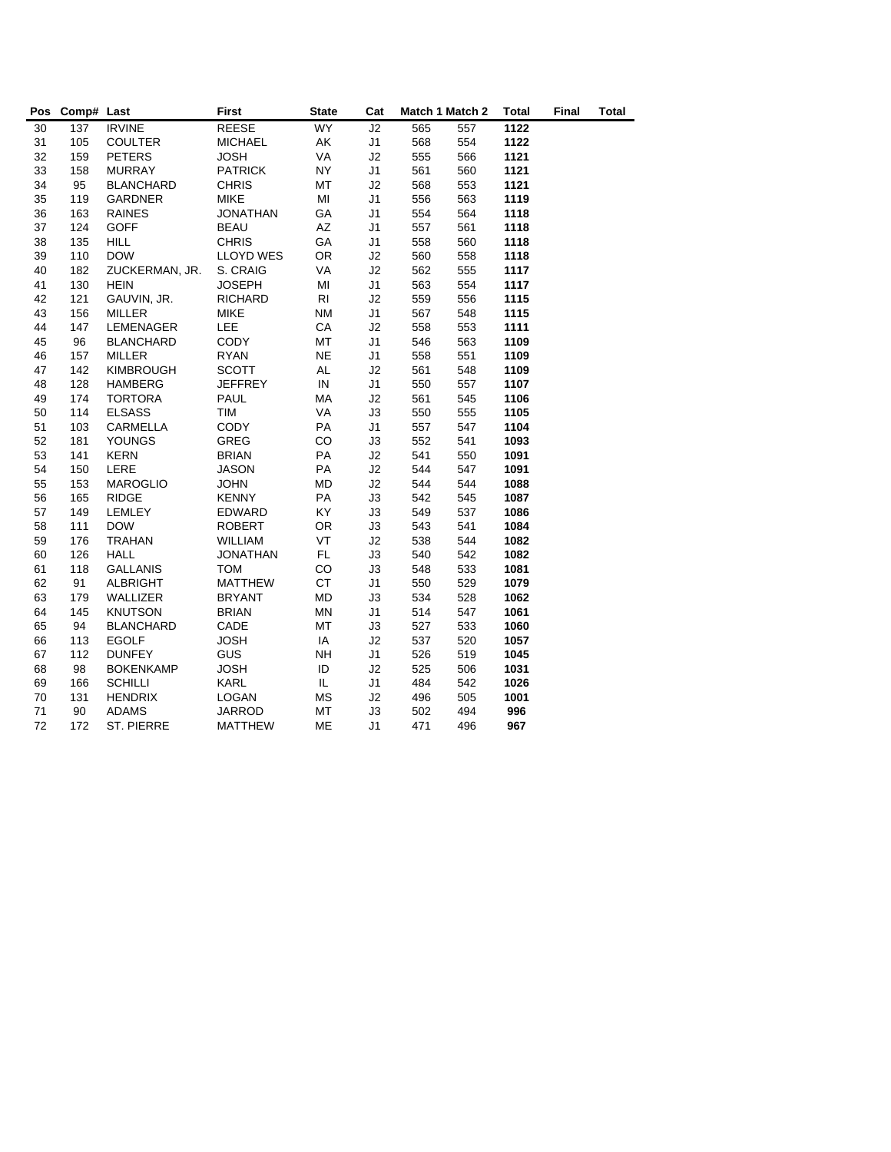| Pos | Comp# Last |                  | <b>First</b>     | <b>State</b> | Cat            |     | Match 1 Match 2 | <b>Total</b> | <b>Final</b> | <b>Total</b> |
|-----|------------|------------------|------------------|--------------|----------------|-----|-----------------|--------------|--------------|--------------|
| 30  | 137        | <b>IRVINE</b>    | <b>REESE</b>     | <b>WY</b>    | J2             | 565 | 557             | 1122         |              |              |
| 31  | 105        | <b>COULTER</b>   | <b>MICHAEL</b>   | AK           | J <sub>1</sub> | 568 | 554             | 1122         |              |              |
| 32  | 159        | <b>PETERS</b>    | <b>JOSH</b>      | VA           | J2             | 555 | 566             | 1121         |              |              |
| 33  | 158        | <b>MURRAY</b>    | <b>PATRICK</b>   | <b>NY</b>    | J <sub>1</sub> | 561 | 560             | 1121         |              |              |
| 34  | 95         | <b>BLANCHARD</b> | <b>CHRIS</b>     | MT           | J2             | 568 | 553             | 1121         |              |              |
| 35  | 119        | <b>GARDNER</b>   | <b>MIKE</b>      | MI           | J <sub>1</sub> | 556 | 563             | 1119         |              |              |
| 36  | 163        | <b>RAINES</b>    | <b>JONATHAN</b>  | GA           | J <sub>1</sub> | 554 | 564             | 1118         |              |              |
| 37  | 124        | <b>GOFF</b>      | <b>BEAU</b>      | AZ           | J <sub>1</sub> | 557 | 561             | 1118         |              |              |
| 38  | 135        | <b>HILL</b>      | <b>CHRIS</b>     | GA           | J <sub>1</sub> | 558 | 560             | 1118         |              |              |
| 39  | 110        | <b>DOW</b>       | <b>LLOYD WES</b> | OR           | J2             | 560 | 558             | 1118         |              |              |
| 40  | 182        | ZUCKERMAN, JR.   | S. CRAIG         | VA           | J2             | 562 | 555             | 1117         |              |              |
| 41  | 130        | <b>HEIN</b>      | <b>JOSEPH</b>    | MI           | J <sub>1</sub> | 563 | 554             | 1117         |              |              |
| 42  | 121        | GAUVIN, JR.      | <b>RICHARD</b>   | <b>RI</b>    | J2             | 559 | 556             | 1115         |              |              |
| 43  | 156        | <b>MILLER</b>    | <b>MIKE</b>      | <b>NM</b>    | J <sub>1</sub> | 567 | 548             | 1115         |              |              |
| 44  | 147        | <b>LEMENAGER</b> | <b>LEE</b>       | CA           | J2             | 558 | 553             | 1111         |              |              |
| 45  | 96         | <b>BLANCHARD</b> | <b>CODY</b>      | <b>MT</b>    | J <sub>1</sub> | 546 | 563             | 1109         |              |              |
| 46  | 157        | MILLER           | <b>RYAN</b>      | <b>NE</b>    | J <sub>1</sub> | 558 | 551             | 1109         |              |              |
| 47  | 142        | <b>KIMBROUGH</b> | <b>SCOTT</b>     | <b>AL</b>    | J2             | 561 | 548             | 1109         |              |              |
| 48  | 128        | <b>HAMBERG</b>   | <b>JEFFREY</b>   | IN           | J <sub>1</sub> | 550 | 557             | 1107         |              |              |
| 49  | 174        | <b>TORTORA</b>   | <b>PAUL</b>      | МA           | J2             | 561 | 545             | 1106         |              |              |
| 50  | 114        | <b>ELSASS</b>    | TIM              | VA           | J3             | 550 | 555             | 1105         |              |              |
| 51  | 103        | CARMELLA         | CODY             | PA           | J <sub>1</sub> | 557 | 547             | 1104         |              |              |
| 52  | 181        | <b>YOUNGS</b>    | GREG             | CO           | J3             | 552 | 541             | 1093         |              |              |
| 53  | 141        | <b>KERN</b>      | <b>BRIAN</b>     | PA           | J2             | 541 | 550             | 1091         |              |              |
| 54  | 150        | LERE             | <b>JASON</b>     | PA           | J <sub>2</sub> | 544 | 547             | 1091         |              |              |
| 55  | 153        | <b>MAROGLIO</b>  | <b>JOHN</b>      | <b>MD</b>    | J2             | 544 | 544             | 1088         |              |              |
| 56  | 165        | <b>RIDGE</b>     | <b>KENNY</b>     | PA           | J3             | 542 | 545             | 1087         |              |              |
| 57  | 149        | LEMLEY           | EDWARD           | KY           | J3             | 549 | 537             | 1086         |              |              |
| 58  | 111        | <b>DOW</b>       | <b>ROBERT</b>    | <b>OR</b>    | J3             | 543 | 541             | 1084         |              |              |
| 59  | 176        | <b>TRAHAN</b>    | <b>WILLIAM</b>   | <b>VT</b>    | J2             | 538 | 544             | 1082         |              |              |
| 60  | 126        | <b>HALL</b>      | <b>JONATHAN</b>  | FL.          | J3             | 540 | 542             | 1082         |              |              |
| 61  | 118        | <b>GALLANIS</b>  | <b>TOM</b>       | CO           | J3             | 548 | 533             | 1081         |              |              |
| 62  | 91         | <b>ALBRIGHT</b>  | <b>MATTHEW</b>   | <b>CT</b>    | J <sub>1</sub> | 550 | 529             | 1079         |              |              |
| 63  | 179        | WALLIZER         | <b>BRYANT</b>    | <b>MD</b>    | J3             | 534 | 528             | 1062         |              |              |
| 64  | 145        | <b>KNUTSON</b>   | <b>BRIAN</b>     | <b>MN</b>    | J <sub>1</sub> | 514 | 547             | 1061         |              |              |
| 65  | 94         | <b>BLANCHARD</b> | CADE             | MT           | J3             | 527 | 533             | 1060         |              |              |
| 66  | 113        | <b>EGOLF</b>     | <b>JOSH</b>      | IA           | J2             | 537 | 520             | 1057         |              |              |
| 67  | 112        | <b>DUNFEY</b>    | <b>GUS</b>       | <b>NH</b>    | J <sub>1</sub> | 526 | 519             | 1045         |              |              |
| 68  | 98         | <b>BOKENKAMP</b> | <b>JOSH</b>      | ID           | J2             | 525 | 506             | 1031         |              |              |
| 69  | 166        | <b>SCHILLI</b>   | KARL             | IL.          | J <sub>1</sub> | 484 | 542             | 1026         |              |              |
| 70  | 131        | <b>HENDRIX</b>   | LOGAN            | MS           | J2             | 496 | 505             | 1001         |              |              |
| 71  | 90         | <b>ADAMS</b>     | <b>JARROD</b>    | MT           | J3             | 502 | 494             | 996          |              |              |
| 72  | 172        | ST. PIERRE       | <b>MATTHEW</b>   | MЕ           | J <sub>1</sub> | 471 | 496             | 967          |              |              |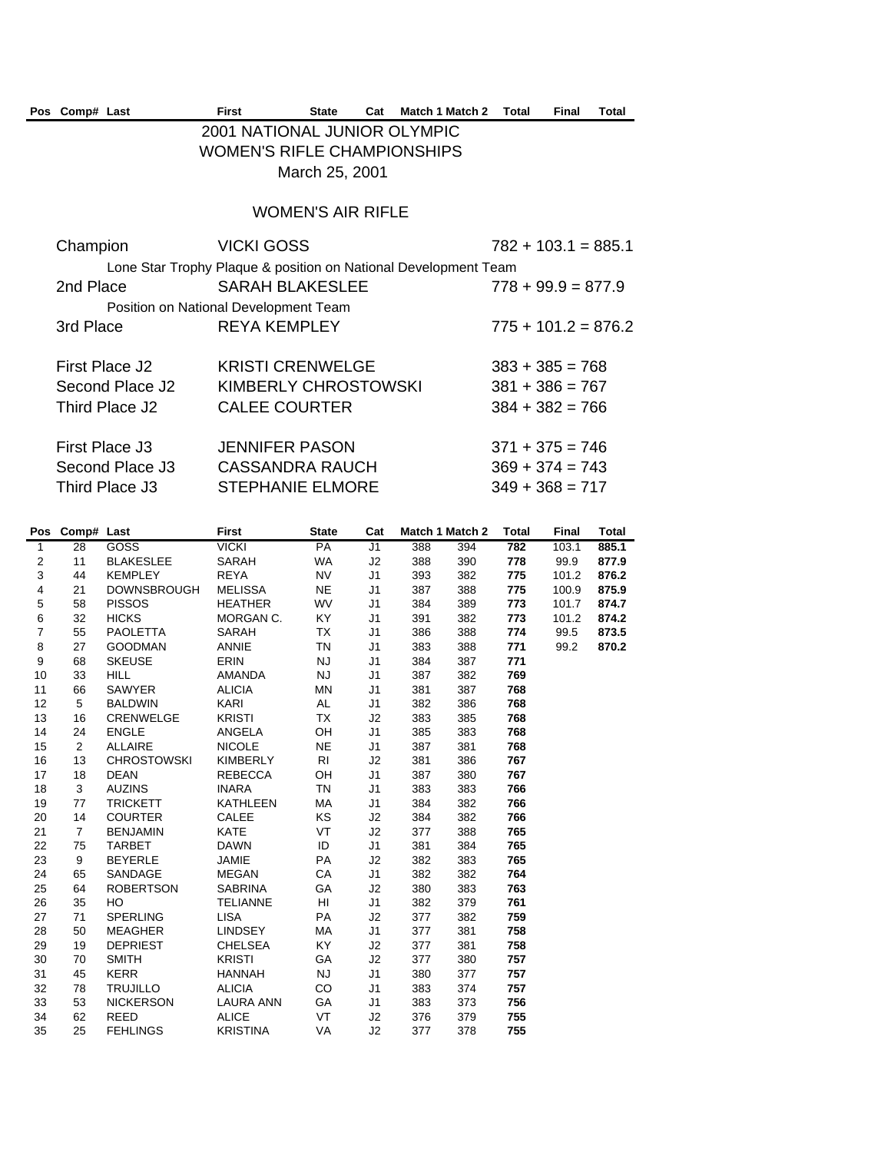| Pos Comp# Last |                 | <b>First</b>                          | <b>State</b>             | Cat | Match 1 Match 2                                                 | Total             | Final                 | Total |
|----------------|-----------------|---------------------------------------|--------------------------|-----|-----------------------------------------------------------------|-------------------|-----------------------|-------|
|                |                 | 2001 NATIONAL JUNIOR OLYMPIC          |                          |     |                                                                 |                   |                       |       |
|                |                 | <b>WOMEN'S RIFLE CHAMPIONSHIPS</b>    |                          |     |                                                                 |                   |                       |       |
|                |                 |                                       | March 25, 2001           |     |                                                                 |                   |                       |       |
|                |                 |                                       | <b>WOMEN'S AIR RIFLE</b> |     |                                                                 |                   |                       |       |
| Champion       |                 | <b>VICKI GOSS</b>                     |                          |     |                                                                 |                   | $782 + 103.1 = 885.1$ |       |
|                |                 |                                       |                          |     | Lone Star Trophy Plaque & position on National Development Team |                   |                       |       |
| 2nd Place      |                 | <b>SARAH BLAKESLEE</b>                |                          |     |                                                                 |                   | $778 + 99.9 = 877.9$  |       |
|                |                 | Position on National Development Team |                          |     |                                                                 |                   |                       |       |
| 3rd Place      |                 | <b>REYA KEMPLEY</b>                   |                          |     |                                                                 |                   | $775 + 101.2 = 876.2$ |       |
|                | First Place J2  | <b>KRISTI CRENWELGE</b>               |                          |     |                                                                 |                   | $383 + 385 = 768$     |       |
|                | Second Place J2 | KIMBERLY CHROSTOWSKI                  |                          |     |                                                                 | $381 + 386 = 767$ |                       |       |
|                | Third Place J2  | <b>CALEE COURTER</b>                  |                          |     |                                                                 |                   | $384 + 382 = 766$     |       |
|                |                 |                                       |                          |     |                                                                 |                   |                       |       |
|                | First Place J3  | <b>JENNIFER PASON</b>                 |                          |     |                                                                 |                   | $371 + 375 = 746$     |       |

Second Place J3 CASSANDRA RAUCH 369 + 374 = 743 Third Place  $J3$  STEPHANIE ELMORE  $349 + 368 = 717$ 

|                         | Pos Comp# Last |                    | <b>First</b>     | <b>State</b>   | Cat            | Match 1 Match 2 |     | <b>Total</b> | Final | Total |
|-------------------------|----------------|--------------------|------------------|----------------|----------------|-----------------|-----|--------------|-------|-------|
| $\mathbf{1}$            | 28             | <b>GOSS</b>        | <b>VICKI</b>     | PA             | J1             | 388             | 394 | 782          | 103.1 | 885.1 |
| 2                       | 11             | <b>BLAKESLEE</b>   | SARAH            | <b>WA</b>      | J2             | 388             | 390 | 778          | 99.9  | 877.9 |
| 3                       | 44             | <b>KEMPLEY</b>     | <b>REYA</b>      | <b>NV</b>      | J <sub>1</sub> | 393             | 382 | 775          | 101.2 | 876.2 |
| $\overline{\mathbf{4}}$ | 21             | <b>DOWNSBROUGH</b> | <b>MELISSA</b>   | <b>NE</b>      | J <sub>1</sub> | 387             | 388 | 775          | 100.9 | 875.9 |
| 5                       | 58             | <b>PISSOS</b>      | <b>HEATHER</b>   | <b>WV</b>      | J <sub>1</sub> | 384             | 389 | 773          | 101.7 | 874.7 |
| $\,6$                   | 32             | <b>HICKS</b>       | MORGAN C.        | KY.            | J <sub>1</sub> | 391             | 382 | 773          | 101.2 | 874.2 |
| $\overline{7}$          | 55             | <b>PAOLETTA</b>    | SARAH            | TX             | J <sub>1</sub> | 386             | 388 | 774          | 99.5  | 873.5 |
| 8                       | 27             | <b>GOODMAN</b>     | <b>ANNIE</b>     | <b>TN</b>      | J <sub>1</sub> | 383             | 388 | 771          | 99.2  | 870.2 |
| 9                       | 68             | <b>SKEUSE</b>      | <b>ERIN</b>      | NJ             | J <sub>1</sub> | 384             | 387 | 771          |       |       |
| 10                      | 33             | <b>HILL</b>        | AMANDA           | NJ             | J <sub>1</sub> | 387             | 382 | 769          |       |       |
| 11                      | 66             | SAWYER             | <b>ALICIA</b>    | MN             | J <sub>1</sub> | 381             | 387 | 768          |       |       |
| 12                      | 5              | <b>BALDWIN</b>     | KARI             | AL             | J <sub>1</sub> | 382             | 386 | 768          |       |       |
| 13                      | 16             | <b>CRENWELGE</b>   | <b>KRISTI</b>    | TX             | J2             | 383             | 385 | 768          |       |       |
| 14                      | 24             | <b>ENGLE</b>       | ANGELA           | OH             | J1             | 385             | 383 | 768          |       |       |
| 15                      | 2              | <b>ALLAIRE</b>     | <b>NICOLE</b>    | <b>NE</b>      | J <sub>1</sub> | 387             | 381 | 768          |       |       |
| 16                      | 13             | <b>CHROSTOWSKI</b> | <b>KIMBERLY</b>  | R <sub>l</sub> | J2             | 381             | 386 | 767          |       |       |
| 17                      | 18             | <b>DEAN</b>        | <b>REBECCA</b>   | OH             | J <sub>1</sub> | 387             | 380 | 767          |       |       |
| 18                      | 3              | <b>AUZINS</b>      | <b>INARA</b>     | TN             | J <sub>1</sub> | 383             | 383 | 766          |       |       |
| 19                      | 77             | <b>TRICKETT</b>    | <b>KATHLEEN</b>  | МA             | J1             | 384             | 382 | 766          |       |       |
| 20                      | 14             | <b>COURTER</b>     | <b>CALEE</b>     | KS             | J2             | 384             | 382 | 766          |       |       |
| 21                      | $\overline{7}$ | <b>BENJAMIN</b>    | <b>KATE</b>      | VT             | J2             | 377             | 388 | 765          |       |       |
| 22                      | 75             | <b>TARBET</b>      | <b>DAWN</b>      | ID             | J <sub>1</sub> | 381             | 384 | 765          |       |       |
| 23                      | 9              | <b>BEYERLE</b>     | <b>JAMIE</b>     | PA             | J2             | 382             | 383 | 765          |       |       |
| 24                      | 65             | SANDAGE            | <b>MEGAN</b>     | CA             | J <sub>1</sub> | 382             | 382 | 764          |       |       |
| 25                      | 64             | <b>ROBERTSON</b>   | <b>SABRINA</b>   | GA             | J2             | 380             | 383 | 763          |       |       |
| 26                      | 35             | HO                 | <b>TELIANNE</b>  | HI             | J <sub>1</sub> | 382             | 379 | 761          |       |       |
| 27                      | 71             | <b>SPERLING</b>    | <b>LISA</b>      | PA             | J2             | 377             | 382 | 759          |       |       |
| 28                      | 50             | <b>MEAGHER</b>     | <b>LINDSEY</b>   | МA             | J1             | 377             | 381 | 758          |       |       |
| 29                      | 19             | <b>DEPRIEST</b>    | <b>CHELSEA</b>   | KY.            | J2             | 377             | 381 | 758          |       |       |
| 30                      | 70             | <b>SMITH</b>       | <b>KRISTI</b>    | GA             | J2             | 377             | 380 | 757          |       |       |
| 31                      | 45             | <b>KERR</b>        | <b>HANNAH</b>    | NJ             | J <sub>1</sub> | 380             | 377 | 757          |       |       |
| 32                      | 78             | <b>TRUJILLO</b>    | <b>ALICIA</b>    | CO             | J <sub>1</sub> | 383             | 374 | 757          |       |       |
| 33                      | 53             | <b>NICKERSON</b>   | <b>LAURA ANN</b> | GA             | J1             | 383             | 373 | 756          |       |       |
| 34                      | 62             | REED               | <b>ALICE</b>     | <b>VT</b>      | J <sub>2</sub> | 376             | 379 | 755          |       |       |
| 35                      | 25             | <b>FEHLINGS</b>    | <b>KRISTINA</b>  | VA             | J2             | 377             | 378 | 755          |       |       |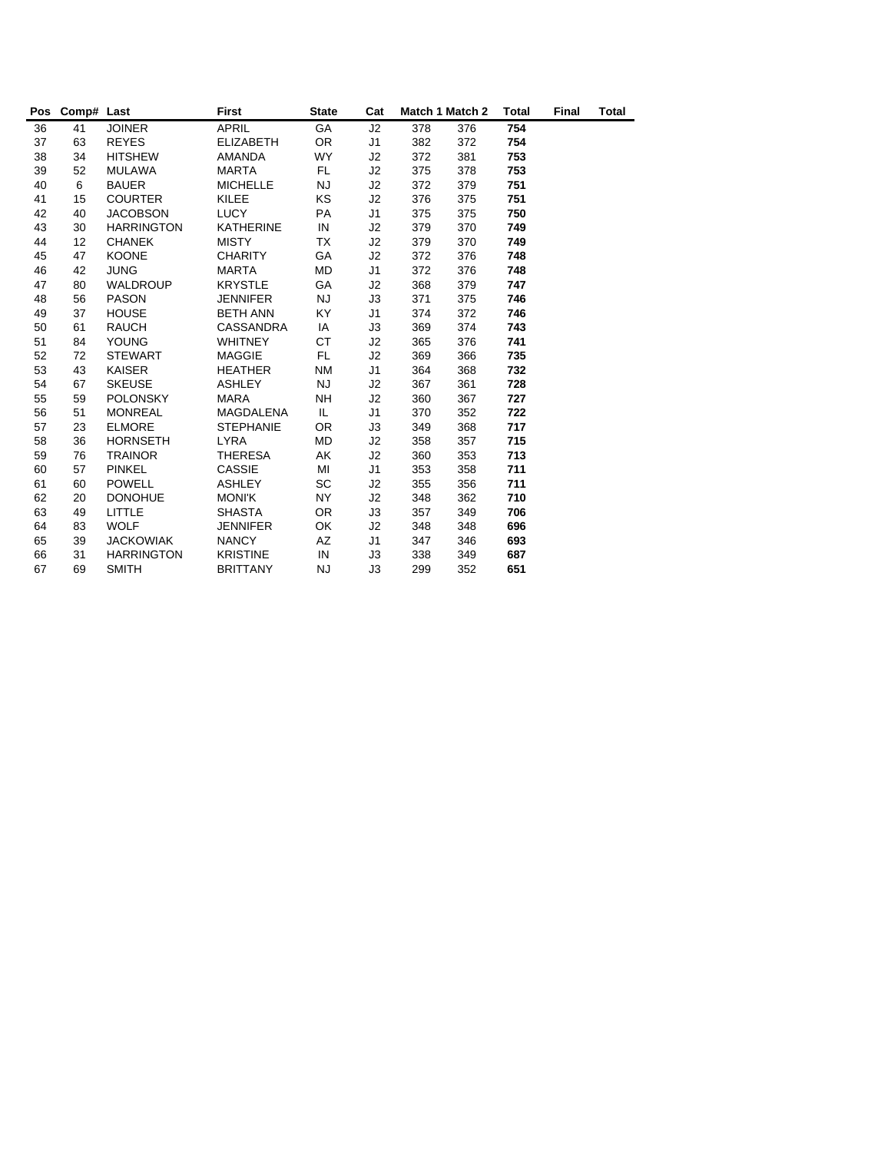|    | Pos Comp# Last |                   | <b>First</b>     | <b>State</b> | Cat            | Match 1 Match 2 |     | <b>Total</b> | Final | Total |
|----|----------------|-------------------|------------------|--------------|----------------|-----------------|-----|--------------|-------|-------|
| 36 | 41             | <b>JOINER</b>     | <b>APRIL</b>     | GA           | J2             | 378             | 376 | 754          |       |       |
| 37 | 63             | <b>REYES</b>      | <b>ELIZABETH</b> | <b>OR</b>    | J1             | 382             | 372 | 754          |       |       |
| 38 | 34             | <b>HITSHEW</b>    | <b>AMANDA</b>    | <b>WY</b>    | J2             | 372             | 381 | 753          |       |       |
| 39 | 52             | <b>MULAWA</b>     | <b>MARTA</b>     | <b>FL</b>    | J2             | 375             | 378 | 753          |       |       |
| 40 | 6              | <b>BAUER</b>      | <b>MICHELLE</b>  | NJ           | J2             | 372             | 379 | 751          |       |       |
| 41 | 15             | <b>COURTER</b>    | <b>KILEE</b>     | <b>KS</b>    | J2             | 376             | 375 | 751          |       |       |
| 42 | 40             | <b>JACOBSON</b>   | <b>LUCY</b>      | PA           | J <sub>1</sub> | 375             | 375 | 750          |       |       |
| 43 | 30             | <b>HARRINGTON</b> | <b>KATHERINE</b> | IN           | J2             | 379             | 370 | 749          |       |       |
| 44 | 12             | <b>CHANEK</b>     | <b>MISTY</b>     | TX           | J2             | 379             | 370 | 749          |       |       |
| 45 | 47             | <b>KOONE</b>      | <b>CHARITY</b>   | GA           | J2             | 372             | 376 | 748          |       |       |
| 46 | 42             | <b>JUNG</b>       | <b>MARTA</b>     | MD           | J1             | 372             | 376 | 748          |       |       |
| 47 | 80             | <b>WALDROUP</b>   | <b>KRYSTLE</b>   | GA           | J2             | 368             | 379 | 747          |       |       |
| 48 | 56             | <b>PASON</b>      | <b>JENNIFER</b>  | <b>NJ</b>    | J3             | 371             | 375 | 746          |       |       |
| 49 | 37             | <b>HOUSE</b>      | <b>BETH ANN</b>  | KY.          | J1             | 374             | 372 | 746          |       |       |
| 50 | 61             | <b>RAUCH</b>      | <b>CASSANDRA</b> | IA           | J3             | 369             | 374 | 743          |       |       |
| 51 | 84             | <b>YOUNG</b>      | <b>WHITNEY</b>   | СT           | J2             | 365             | 376 | 741          |       |       |
| 52 | 72             | <b>STEWART</b>    | <b>MAGGIE</b>    | FL.          | J2             | 369             | 366 | 735          |       |       |
| 53 | 43             | <b>KAISER</b>     | <b>HEATHER</b>   | <b>NM</b>    | J1             | 364             | 368 | 732          |       |       |
| 54 | 67             | <b>SKEUSE</b>     | <b>ASHLEY</b>    | NJ.          | J2             | 367             | 361 | 728          |       |       |
| 55 | 59             | <b>POLONSKY</b>   | MARA             | NΗ           | J2             | 360             | 367 | 727          |       |       |
| 56 | 51             | <b>MONREAL</b>    | MAGDALENA        | IL.          | J <sub>1</sub> | 370             | 352 | 722          |       |       |
| 57 | 23             | <b>ELMORE</b>     | <b>STEPHANIE</b> | <b>OR</b>    | J3             | 349             | 368 | 717          |       |       |
| 58 | 36             | <b>HORNSETH</b>   | <b>LYRA</b>      | <b>MD</b>    | J2             | 358             | 357 | 715          |       |       |
| 59 | 76             | <b>TRAINOR</b>    | THERESA          | AK           | J2             | 360             | 353 | 713          |       |       |
| 60 | 57             | <b>PINKEL</b>     | <b>CASSIE</b>    | MI           | J1             | 353             | 358 | 711          |       |       |
| 61 | 60             | <b>POWELL</b>     | <b>ASHLEY</b>    | SC           | J2             | 355             | 356 | 711          |       |       |
| 62 | 20             | <b>DONOHUE</b>    | <b>MONIK</b>     | <b>NY</b>    | J2             | 348             | 362 | 710          |       |       |
| 63 | 49             | LITTLE            | <b>SHASTA</b>    | <b>OR</b>    | J3             | 357             | 349 | 706          |       |       |
| 64 | 83             | <b>WOLF</b>       | <b>JENNIFER</b>  | OK           | J2             | 348             | 348 | 696          |       |       |
| 65 | 39             | <b>JACKOWIAK</b>  | <b>NANCY</b>     | AZ           | J1             | 347             | 346 | 693          |       |       |
| 66 | 31             | <b>HARRINGTON</b> | <b>KRISTINE</b>  | IN           | JЗ             | 338             | 349 | 687          |       |       |
| 67 | 69             | <b>SMITH</b>      | <b>BRITTANY</b>  | <b>NJ</b>    | J3             | 299             | 352 | 651          |       |       |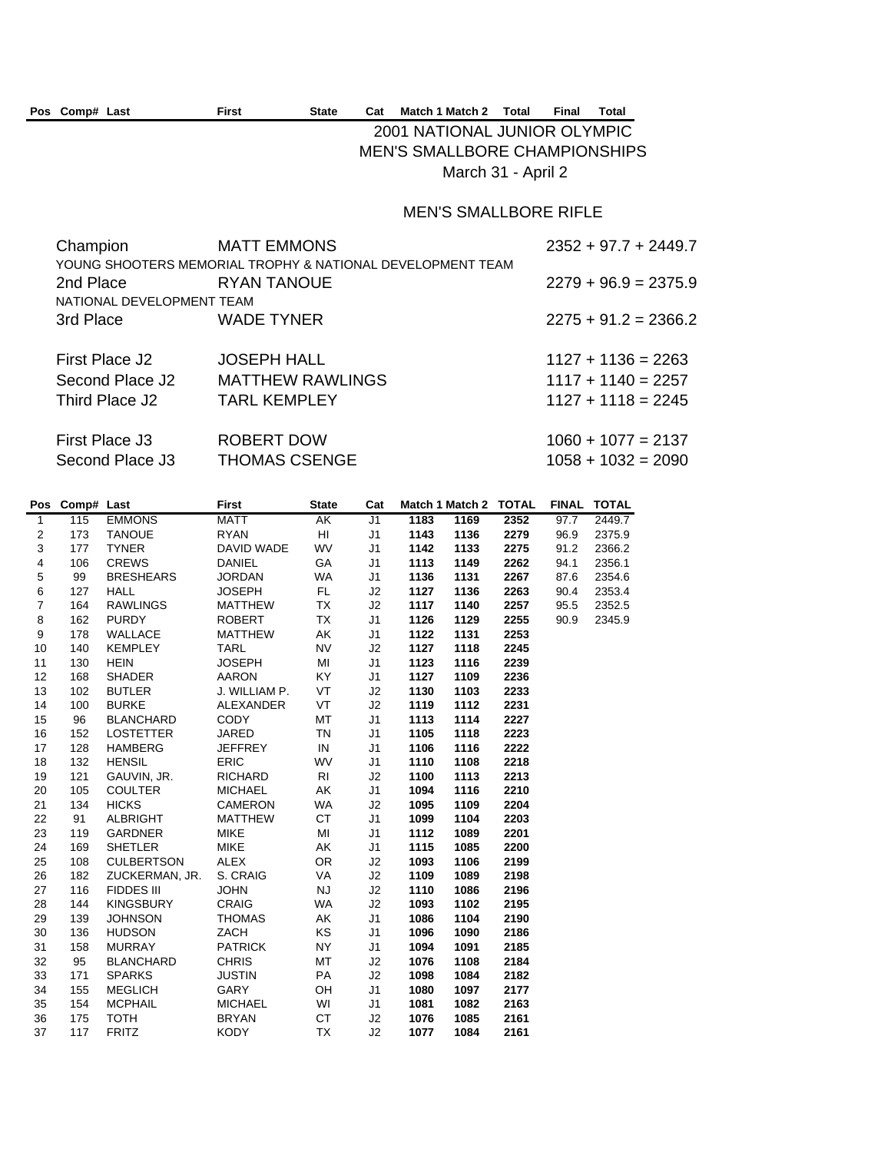#### Pos Comp# Last First State Cat Match 1 Match 2 Total Final Total

## 2001 NATIONAL JUNIOR OLYMPIC MEN'S SMALLBORE CHAMPIONSHIPS March 31 - April 2

### MEN'S SMALLBORE RIFLE

| <b>MATT EMMONS</b>                                         | $2352 + 97.7 + 2449.7$ |
|------------------------------------------------------------|------------------------|
| YOUNG SHOOTERS MEMORIAL TROPHY & NATIONAL DEVELOPMENT TEAM |                        |
| RYAN TANOUE                                                | $2279 + 96.9 = 2375.9$ |
| NATIONAL DEVELOPMENT TEAM                                  |                        |
| <b>WADE TYNER</b>                                          | $2275 + 91.2 = 2366.2$ |
|                                                            |                        |
| <b>JOSEPH HALL</b>                                         | $1127 + 1136 = 2263$   |
| <b>MATTHEW RAWLINGS</b>                                    | $1117 + 1140 = 2257$   |
| <b>TARL KEMPLEY</b>                                        | $1127 + 1118 = 2245$   |
|                                                            |                        |
| ROBERT DOW                                                 | $1060 + 1077 = 2137$   |
| <b>THOMAS CSENGE</b>                                       | $1058 + 1032 = 2090$   |
|                                                            |                        |

|                         | Pos Comp# Last |                   | <b>First</b>     | <b>State</b> | Cat            |      | Match 1 Match 2 TOTAL |      | <b>FINAL</b> | <b>TOTAL</b> |
|-------------------------|----------------|-------------------|------------------|--------------|----------------|------|-----------------------|------|--------------|--------------|
| $\overline{1}$          | 115            | <b>EMMONS</b>     | <b>MATT</b>      | АK           | J1             | 1183 | 1169                  | 2352 | 97.7         | 2449.7       |
| $\overline{\mathbf{c}}$ | 173            | <b>TANOUE</b>     | <b>RYAN</b>      | HI.          | J <sub>1</sub> | 1143 | 1136                  | 2279 | 96.9         | 2375.9       |
| 3                       | 177            | <b>TYNER</b>      | DAVID WADE       | WV           | J <sub>1</sub> | 1142 | 1133                  | 2275 | 91.2         | 2366.2       |
| 4                       | 106            | <b>CREWS</b>      | <b>DANIEL</b>    | GA           | J <sub>1</sub> | 1113 | 1149                  | 2262 | 94.1         | 2356.1       |
| 5                       | 99             | <b>BRESHEARS</b>  | <b>JORDAN</b>    | WA           | J1             | 1136 | 1131                  | 2267 | 87.6         | 2354.6       |
| 6                       | 127            | <b>HALL</b>       | <b>JOSEPH</b>    | FL.          | J2             | 1127 | 1136                  | 2263 | 90.4         | 2353.4       |
| $\overline{7}$          | 164            | <b>RAWLINGS</b>   | <b>MATTHEW</b>   | TX           | J2             | 1117 | 1140                  | 2257 | 95.5         | 2352.5       |
| 8                       | 162            | <b>PURDY</b>      | <b>ROBERT</b>    | <b>TX</b>    | J <sub>1</sub> | 1126 | 1129                  | 2255 | 90.9         | 2345.9       |
| 9                       | 178            | <b>WALLACE</b>    | <b>MATTHEW</b>   | AK           | J <sub>1</sub> | 1122 | 1131                  | 2253 |              |              |
| 10                      | 140            | <b>KEMPLEY</b>    | <b>TARL</b>      | <b>NV</b>    | J2             | 1127 | 1118                  | 2245 |              |              |
| 11                      | 130            | <b>HEIN</b>       | <b>JOSEPH</b>    | MI           | J <sub>1</sub> | 1123 | 1116                  | 2239 |              |              |
| 12                      | 168            | <b>SHADER</b>     | <b>AARON</b>     | KY.          | J <sub>1</sub> | 1127 | 1109                  | 2236 |              |              |
| 13                      | 102            | <b>BUTLER</b>     | J. WILLIAM P.    | VT           | J2             | 1130 | 1103                  | 2233 |              |              |
| 14                      | 100            | <b>BURKE</b>      | <b>ALEXANDER</b> | <b>VT</b>    | J2             | 1119 | 1112                  | 2231 |              |              |
| 15                      | 96             | <b>BLANCHARD</b>  | <b>CODY</b>      | MT           | J <sub>1</sub> | 1113 | 1114                  | 2227 |              |              |
| 16                      | 152            | <b>LOSTETTER</b>  | <b>JARED</b>     | <b>TN</b>    | J <sub>1</sub> | 1105 | 1118                  | 2223 |              |              |
| 17                      | 128            | <b>HAMBERG</b>    | <b>JEFFREY</b>   | IN           | J <sub>1</sub> | 1106 | 1116                  | 2222 |              |              |
| 18                      | 132            | <b>HENSIL</b>     | <b>ERIC</b>      | WV           | J <sub>1</sub> | 1110 | 1108                  | 2218 |              |              |
| 19                      | 121            | GAUVIN, JR.       | <b>RICHARD</b>   | <b>RI</b>    | J2             | 1100 | 1113                  | 2213 |              |              |
| 20                      | 105            | <b>COULTER</b>    | <b>MICHAEL</b>   | AK           | J <sub>1</sub> | 1094 | 1116                  | 2210 |              |              |
| 21                      | 134            | <b>HICKS</b>      | <b>CAMERON</b>   | WA           | J2             | 1095 | 1109                  | 2204 |              |              |
| 22                      | 91             | <b>ALBRIGHT</b>   | <b>MATTHEW</b>   | <b>CT</b>    | J1             | 1099 | 1104                  | 2203 |              |              |
| 23                      | 119            | <b>GARDNER</b>    | <b>MIKE</b>      | MI           | J <sub>1</sub> | 1112 | 1089                  | 2201 |              |              |
| 24                      | 169            | <b>SHETLER</b>    | <b>MIKE</b>      | AK           | J <sub>1</sub> | 1115 | 1085                  | 2200 |              |              |
| 25                      | 108            | <b>CULBERTSON</b> | <b>ALEX</b>      | <b>OR</b>    | J <sub>2</sub> | 1093 | 1106                  | 2199 |              |              |
| 26                      | 182            | ZUCKERMAN, JR.    | S. CRAIG         | VA           | J2             | 1109 | 1089                  | 2198 |              |              |
| 27                      | 116            | <b>FIDDES III</b> | <b>JOHN</b>      | <b>NJ</b>    | J2             | 1110 | 1086                  | 2196 |              |              |
| 28                      | 144            | <b>KINGSBURY</b>  | <b>CRAIG</b>     | <b>WA</b>    | J2             | 1093 | 1102                  | 2195 |              |              |
| 29                      | 139            | <b>JOHNSON</b>    | <b>THOMAS</b>    | AK           | J <sub>1</sub> | 1086 | 1104                  | 2190 |              |              |
| 30                      | 136            | <b>HUDSON</b>     | ZACH             | <b>KS</b>    | J <sub>1</sub> | 1096 | 1090                  | 2186 |              |              |
| 31                      | 158            | <b>MURRAY</b>     | <b>PATRICK</b>   | <b>NY</b>    | J <sub>1</sub> | 1094 | 1091                  | 2185 |              |              |
| 32                      | 95             | <b>BLANCHARD</b>  | <b>CHRIS</b>     | MT           | J2             | 1076 | 1108                  | 2184 |              |              |
| 33                      | 171            | <b>SPARKS</b>     | <b>JUSTIN</b>    | PA           | J2             | 1098 | 1084                  | 2182 |              |              |
| 34                      | 155            | <b>MEGLICH</b>    | GARY             | OH           | J <sub>1</sub> | 1080 | 1097                  | 2177 |              |              |
| 35                      | 154            | <b>MCPHAIL</b>    | <b>MICHAEL</b>   | WI           | J1             | 1081 | 1082                  | 2163 |              |              |
| 36                      | 175            | <b>TOTH</b>       | <b>BRYAN</b>     | <b>CT</b>    | J2             | 1076 | 1085                  | 2161 |              |              |
| 37                      | 117            | <b>FRITZ</b>      | <b>KODY</b>      | <b>TX</b>    | J2             | 1077 | 1084                  | 2161 |              |              |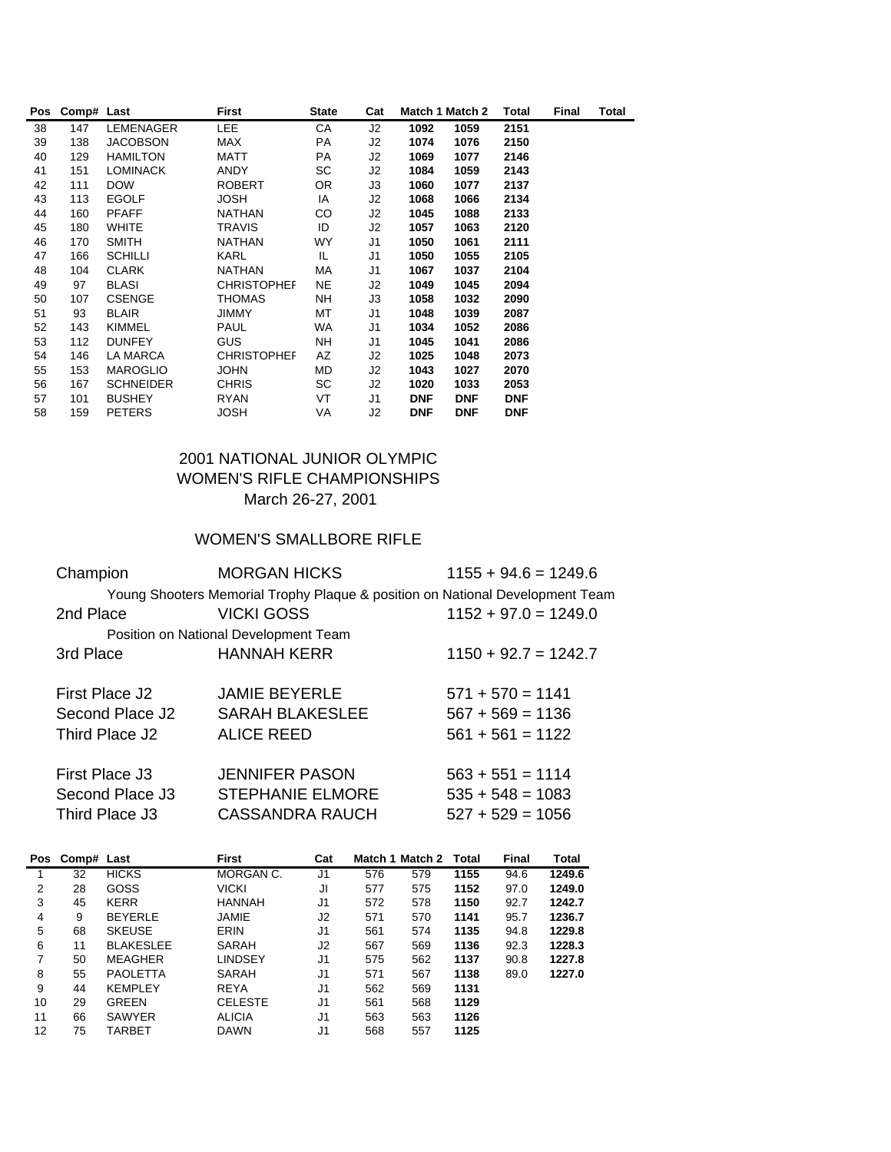| Pos | Comp# Last |                  | First              | <b>State</b> | Cat |            | Match 1 Match 2 | Total      | Final | Total |
|-----|------------|------------------|--------------------|--------------|-----|------------|-----------------|------------|-------|-------|
| 38  | 147        | LEMENAGER        | <b>LEE</b>         | CA           | J2  | 1092       | 1059            | 2151       |       |       |
| 39  | 138        | <b>JACOBSON</b>  | <b>MAX</b>         | PA           | J2  | 1074       | 1076            | 2150       |       |       |
| 40  | 129        | <b>HAMILTON</b>  | MATT               | PA           | J2  | 1069       | 1077            | 2146       |       |       |
| 41  | 151        | <b>LOMINACK</b>  | ANDY               | SC           | J2  | 1084       | 1059            | 2143       |       |       |
| 42  | 111        | <b>DOW</b>       | <b>ROBERT</b>      | OR.          | J3  | 1060       | 1077            | 2137       |       |       |
| 43  | 113        | <b>EGOLF</b>     | <b>JOSH</b>        | IA           | J2  | 1068       | 1066            | 2134       |       |       |
| 44  | 160        | <b>PFAFF</b>     | <b>NATHAN</b>      | CO           | J2  | 1045       | 1088            | 2133       |       |       |
| 45  | 180        | <b>WHITE</b>     | <b>TRAVIS</b>      | ID           | J2  | 1057       | 1063            | 2120       |       |       |
| 46  | 170        | <b>SMITH</b>     | <b>NATHAN</b>      | WY           | J1  | 1050       | 1061            | 2111       |       |       |
| 47  | 166        | <b>SCHILLI</b>   | <b>KARL</b>        | IL           | J1  | 1050       | 1055            | 2105       |       |       |
| 48  | 104        | <b>CLARK</b>     | NATHAN             | МA           | J1  | 1067       | 1037            | 2104       |       |       |
| 49  | 97         | <b>BLASI</b>     | <b>CHRISTOPHEF</b> | NE.          | J2  | 1049       | 1045            | 2094       |       |       |
| 50  | 107        | <b>CSENGE</b>    | <b>THOMAS</b>      | NH           | JЗ  | 1058       | 1032            | 2090       |       |       |
| 51  | 93         | <b>BLAIR</b>     | <b>JIMMY</b>       | МT           | J1  | 1048       | 1039            | 2087       |       |       |
| 52  | 143        | <b>KIMMEL</b>    | <b>PAUL</b>        | WA           | J1  | 1034       | 1052            | 2086       |       |       |
| 53  | 112        | <b>DUNFEY</b>    | <b>GUS</b>         | <b>NH</b>    | J1  | 1045       | 1041            | 2086       |       |       |
| 54  | 146        | LA MARCA         | <b>CHRISTOPHEF</b> | AZ           | J2  | 1025       | 1048            | 2073       |       |       |
| 55  | 153        | <b>MAROGLIO</b>  | <b>JOHN</b>        | MD           | J2  | 1043       | 1027            | 2070       |       |       |
| 56  | 167        | <b>SCHNEIDER</b> | <b>CHRIS</b>       | SC           | J2  | 1020       | 1033            | 2053       |       |       |
| 57  | 101        | <b>BUSHEY</b>    | <b>RYAN</b>        | VT           | J1  | <b>DNF</b> | <b>DNF</b>      | <b>DNF</b> |       |       |
| 58  | 159        | <b>PETERS</b>    | <b>JOSH</b>        | VA           | J2  | <b>DNF</b> | <b>DNF</b>      | <b>DNF</b> |       |       |

## 2001 NATIONAL JUNIOR OLYMPIC WOMEN'S RIFLE CHAMPIONSHIPS March 26-27, 2001

## WOMEN'S SMALLBORE RIFLE

| Champion        | <b>MORGAN HICKS</b>                                                           | $1155 + 94.6 = 1249.6$ |  |  |  |
|-----------------|-------------------------------------------------------------------------------|------------------------|--|--|--|
|                 | Young Shooters Memorial Trophy Plaque & position on National Development Team |                        |  |  |  |
| 2nd Place       | <b>VICKI GOSS</b>                                                             | $1152 + 97.0 = 1249.0$ |  |  |  |
|                 | Position on National Development Team                                         |                        |  |  |  |
| 3rd Place       | <b>HANNAH KERR</b>                                                            | $1150 + 92.7 = 1242.7$ |  |  |  |
|                 |                                                                               |                        |  |  |  |
| First Place J2  | <b>JAMIE BEYERLE</b>                                                          | $571 + 570 = 1141$     |  |  |  |
| Second Place J2 | <b>SARAH BLAKESLEE</b>                                                        | $567 + 569 = 1136$     |  |  |  |
| Third Place J2  | <b>ALICE REED</b>                                                             | $561 + 561 = 1122$     |  |  |  |
|                 |                                                                               |                        |  |  |  |
| First Place J3  | <b>JENNIFER PASON</b>                                                         | $563 + 551 = 1114$     |  |  |  |
| Second Place J3 | <b>STEPHANIE ELMORE</b>                                                       | $535 + 548 = 1083$     |  |  |  |
| Third Place J3  | <b>CASSANDRA RAUCH</b>                                                        | $527 + 529 = 1056$     |  |  |  |
|                 |                                                                               |                        |  |  |  |

| Pos | Comp# Last |                  | <b>First</b>   | Cat |     | Match 1 Match 2 | Total | <b>Final</b> | Total  |
|-----|------------|------------------|----------------|-----|-----|-----------------|-------|--------------|--------|
|     | 32         | <b>HICKS</b>     | MORGAN C.      | J1  | 576 | 579             | 1155  | 94.6         | 1249.6 |
| 2   | 28         | GOSS             | <b>VICKI</b>   | JI  | 577 | 575             | 1152  | 97.0         | 1249.0 |
| 3   | 45         | <b>KERR</b>      | <b>HANNAH</b>  | J1  | 572 | 578             | 1150  | 92.7         | 1242.7 |
| 4   | 9          | <b>BEYERLE</b>   | JAMIE          | J2  | 571 | 570             | 1141  | 95.7         | 1236.7 |
| 5   | 68         | <b>SKEUSE</b>    | ERIN           | J1  | 561 | 574             | 1135  | 94.8         | 1229.8 |
| 6   | 11         | <b>BLAKESLEE</b> | SARAH          | J2  | 567 | 569             | 1136  | 92.3         | 1228.3 |
| 7   | 50         | <b>MEAGHER</b>   | LINDSEY        | J1  | 575 | 562             | 1137  | 90.8         | 1227.8 |
| 8   | 55         | <b>PAOLETTA</b>  | <b>SARAH</b>   | J1  | 571 | 567             | 1138  | 89.0         | 1227.0 |
| 9   | 44         | <b>KEMPLEY</b>   | <b>REYA</b>    | J1  | 562 | 569             | 1131  |              |        |
| 10  | 29         | <b>GREEN</b>     | <b>CELESTE</b> | J1  | 561 | 568             | 1129  |              |        |
| 11  | 66         | <b>SAWYER</b>    | <b>ALICIA</b>  | J1  | 563 | 563             | 1126  |              |        |
| 12  | 75         | <b>TARBET</b>    | <b>DAWN</b>    | J1  | 568 | 557             | 1125  |              |        |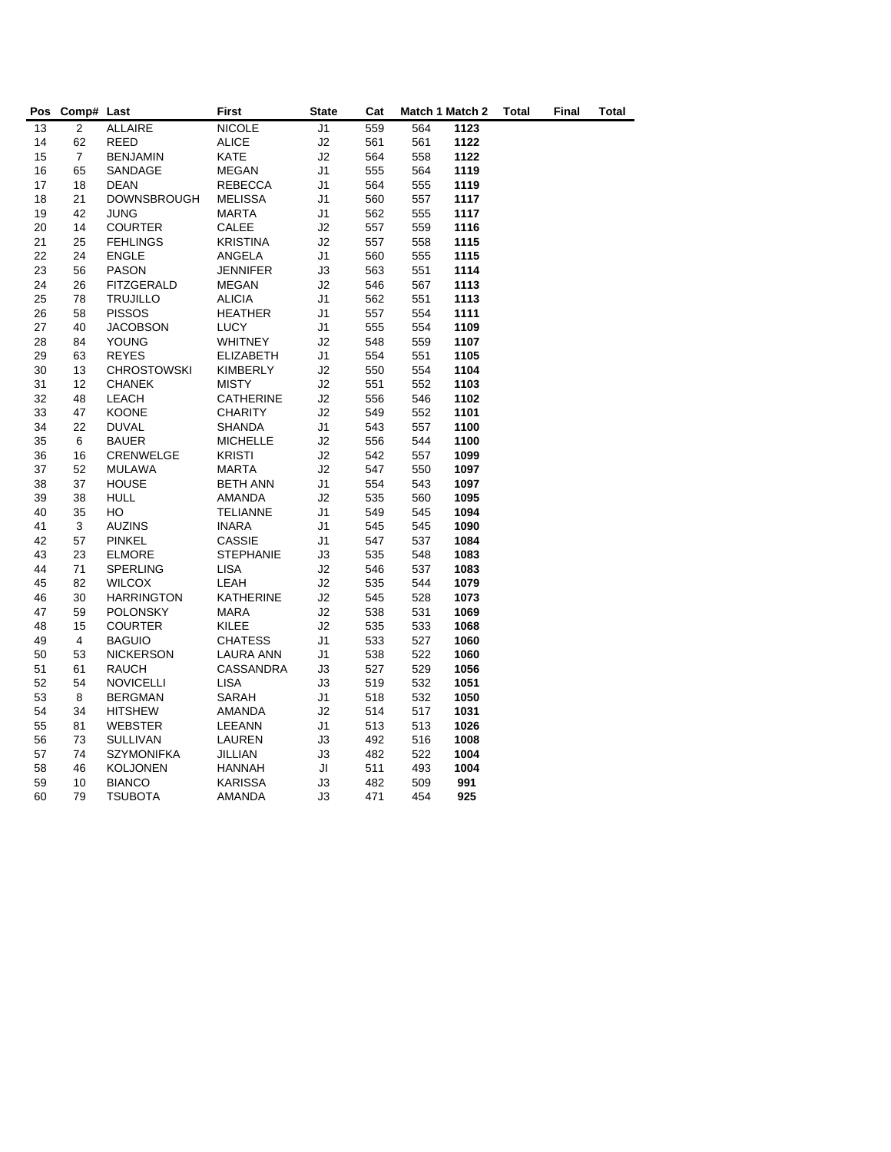| Pos      | Comp# Last     |                                | First                         | <b>State</b>         | Cat        |            | Match 1 Match 2 | Total | Final | Total |
|----------|----------------|--------------------------------|-------------------------------|----------------------|------------|------------|-----------------|-------|-------|-------|
| 13       | $\overline{2}$ | <b>ALLAIRE</b>                 | <b>NICOLE</b>                 | J <sub>1</sub>       | 559        | 564        | 1123            |       |       |       |
| 14       | 62             | REED                           | <b>ALICE</b>                  | J2                   | 561        | 561        | 1122            |       |       |       |
| 15       | $\overline{7}$ | <b>BENJAMIN</b>                | <b>KATE</b>                   | J2                   | 564        | 558        | 1122            |       |       |       |
| 16       | 65             | SANDAGE                        | MEGAN                         | J <sub>1</sub>       | 555        | 564        | 1119            |       |       |       |
| 17       | 18             | <b>DEAN</b>                    | <b>REBECCA</b>                | J1                   | 564        | 555        | 1119            |       |       |       |
| 18       | 21             | <b>DOWNSBROUGH</b>             | <b>MELISSA</b>                | J <sub>1</sub>       | 560        | 557        | 1117            |       |       |       |
| 19       | 42             | <b>JUNG</b>                    | <b>MARTA</b>                  | J <sub>1</sub>       | 562        | 555        | 1117            |       |       |       |
| 20       | 14             | <b>COURTER</b>                 | CALEE                         | J2                   | 557        | 559        | 1116            |       |       |       |
| 21       | 25             | <b>FEHLINGS</b>                | <b>KRISTINA</b>               | J2                   | 557        | 558        | 1115            |       |       |       |
| 22       | 24             | <b>ENGLE</b>                   | ANGELA                        | J1                   | 560        | 555        | 1115            |       |       |       |
| 23       | 56             | <b>PASON</b>                   | <b>JENNIFER</b>               | J3                   | 563        | 551        | 1114            |       |       |       |
| 24       | 26             | FITZGERALD                     | MEGAN                         | J2                   | 546        | 567        | 1113            |       |       |       |
| 25       | 78             | <b>TRUJILLO</b>                | <b>ALICIA</b>                 | J1                   | 562        | 551        | 1113            |       |       |       |
| 26       | 58             | <b>PISSOS</b>                  | <b>HEATHER</b>                | J1                   | 557        | 554        | 1111            |       |       |       |
| 27       | 40             | <b>JACOBSON</b>                | <b>LUCY</b>                   | J1                   | 555        | 554        | 1109            |       |       |       |
| 28       | 84             | <b>YOUNG</b>                   | <b>WHITNEY</b>                | J2                   | 548        | 559        | 1107            |       |       |       |
| 29       | 63             | <b>REYES</b>                   | <b>ELIZABETH</b>              | J1                   | 554        | 551        | 1105            |       |       |       |
| 30       | 13             | <b>CHROSTOWSKI</b>             | KIMBERLY                      | J2                   | 550        | 554        | 1104            |       |       |       |
| 31       | 12             | <b>CHANEK</b>                  | <b>MISTY</b>                  | J2                   | 551        | 552        | 1103            |       |       |       |
| 32       | 48             | LEACH                          | CATHERINE                     | J2                   | 556        | 546        | 1102            |       |       |       |
| 33       | 47             | <b>KOONE</b>                   | <b>CHARITY</b>                | J2                   | 549        | 552        | 1101            |       |       |       |
| 34       | 22             | <b>DUVAL</b>                   | <b>SHANDA</b>                 | J <sub>1</sub>       | 543        | 557        | 1100            |       |       |       |
| 35       | 6              | <b>BAUER</b>                   | <b>MICHELLE</b>               | J2                   | 556        | 544        | 1100            |       |       |       |
| 36       | 16             | CRENWELGE                      | <b>KRISTI</b>                 | J2                   | 542        | 557        | 1099            |       |       |       |
| 37       | 52             | <b>MULAWA</b>                  | <b>MARTA</b>                  | J2                   | 547        | 550        | 1097            |       |       |       |
| 38       | 37             | <b>HOUSE</b>                   | <b>BETH ANN</b>               | J <sub>1</sub>       | 554        | 543        | 1097            |       |       |       |
| 39       | 38             | <b>HULL</b>                    | <b>AMANDA</b>                 | J2                   | 535        | 560        | 1095            |       |       |       |
| 40<br>41 | 35             | HO                             | <b>TELIANNE</b>               | J <sub>1</sub>       | 549        | 545        | 1094            |       |       |       |
| 42       | 3<br>57        | <b>AUZINS</b><br><b>PINKEL</b> | <b>INARA</b><br><b>CASSIE</b> | J <sub>1</sub><br>J1 | 545<br>547 | 545<br>537 | 1090<br>1084    |       |       |       |
| 43       | 23             | <b>ELMORE</b>                  | <b>STEPHANIE</b>              | JЗ                   | 535        | 548        | 1083            |       |       |       |
| 44       | 71             | <b>SPERLING</b>                | <b>LISA</b>                   | J2                   | 546        | 537        | 1083            |       |       |       |
| 45       | 82             | <b>WILCOX</b>                  | LEAH                          | J2                   | 535        | 544        | 1079            |       |       |       |
| 46       | 30             | <b>HARRINGTON</b>              | <b>KATHERINE</b>              | J2                   | 545        | 528        | 1073            |       |       |       |
| 47       | 59             | <b>POLONSKY</b>                | <b>MARA</b>                   | J2                   | 538        | 531        | 1069            |       |       |       |
| 48       | 15             | <b>COURTER</b>                 | KILEE                         | J2                   | 535        | 533        | 1068            |       |       |       |
| 49       | 4              | <b>BAGUIO</b>                  | <b>CHATESS</b>                | J1                   | 533        | 527        | 1060            |       |       |       |
| 50       | 53             | <b>NICKERSON</b>               | LAURA ANN                     | J1                   | 538        | 522        | 1060            |       |       |       |
| 51       | 61             | <b>RAUCH</b>                   | CASSANDRA                     | J3                   | 527        | 529        | 1056            |       |       |       |
| 52       | 54             | <b>NOVICELLI</b>               | <b>LISA</b>                   | JЗ                   | 519        | 532        | 1051            |       |       |       |
| 53       | 8              | <b>BERGMAN</b>                 | SARAH                         | J1                   | 518        | 532        | 1050            |       |       |       |
| 54       | 34             | <b>HITSHEW</b>                 | AMANDA                        | J2                   | 514        | 517        | 1031            |       |       |       |
| 55       | 81             | <b>WEBSTER</b>                 | LEEANN                        | J <sub>1</sub>       | 513        | 513        | 1026            |       |       |       |
| 56       | 73             | <b>SULLIVAN</b>                | LAUREN                        | J3                   | 492        | 516        | 1008            |       |       |       |
| 57       | 74             | <b>SZYMONIFKA</b>              | JILLIAN                       | J3                   | 482        | 522        | 1004            |       |       |       |
| 58       | 46             | <b>KOLJONEN</b>                | <b>HANNAH</b>                 | JI                   | 511        | 493        | 1004            |       |       |       |
| 59       | 10             | <b>BIANCO</b>                  | <b>KARISSA</b>                | J3                   | 482        | 509        | 991             |       |       |       |
| 60       | 79             | <b>TSUBOTA</b>                 | <b>AMANDA</b>                 | JЗ                   | 471        | 454        | 925             |       |       |       |
|          |                |                                |                               |                      |            |            |                 |       |       |       |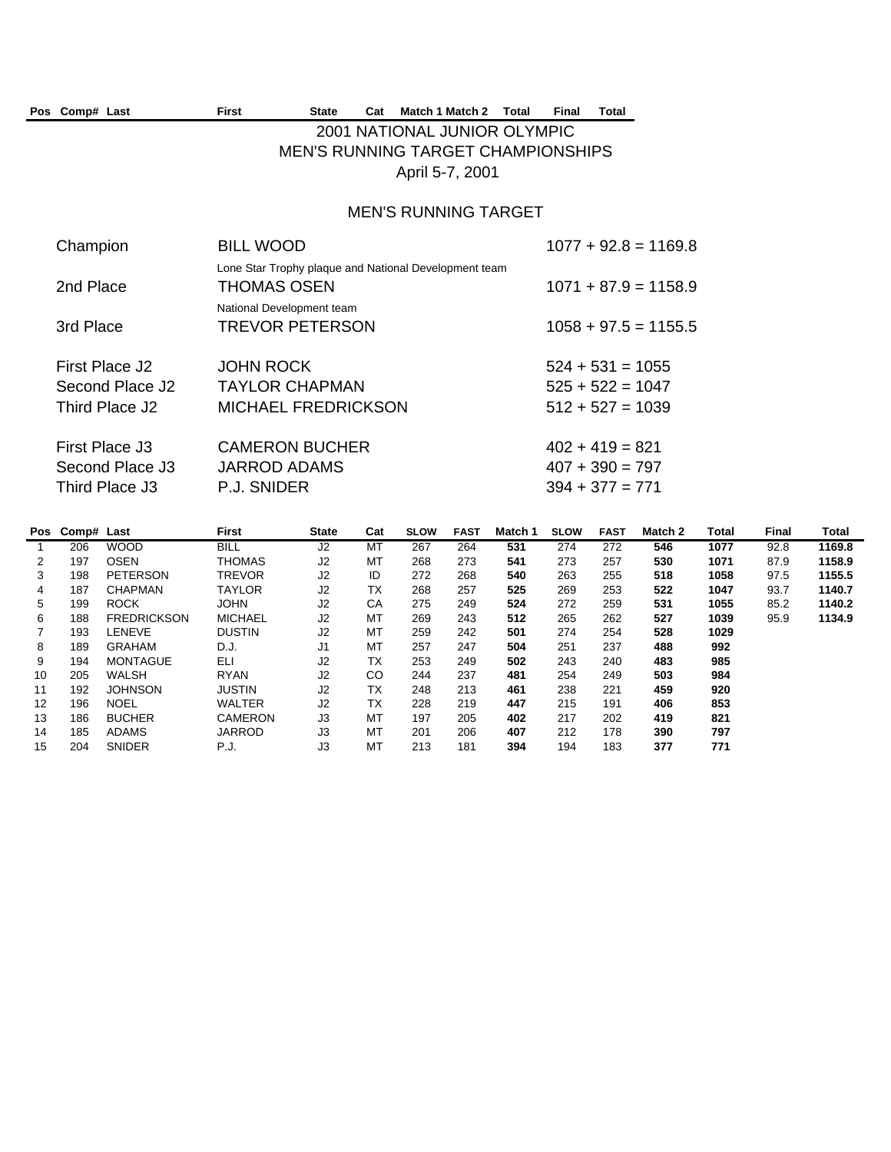|                | Pos Comp# Last |                                          | <b>First</b>                                                                                   | <b>State</b>                              | Cat            |                 | Match 1 Match 2    | <b>Total</b>                 | <b>Final</b>       | <b>Total</b>  |                        |              |                       |                 |
|----------------|----------------|------------------------------------------|------------------------------------------------------------------------------------------------|-------------------------------------------|----------------|-----------------|--------------------|------------------------------|--------------------|---------------|------------------------|--------------|-----------------------|-----------------|
|                |                |                                          |                                                                                                |                                           |                |                 |                    | 2001 NATIONAL JUNIOR OLYMPIC |                    |               |                        |              |                       |                 |
|                |                |                                          |                                                                                                | <b>MEN'S RUNNING TARGET CHAMPIONSHIPS</b> |                |                 |                    |                              |                    |               |                        |              |                       |                 |
|                |                |                                          |                                                                                                |                                           |                | April 5-7, 2001 |                    |                              |                    |               |                        |              |                       |                 |
|                |                |                                          |                                                                                                |                                           |                |                 |                    | <b>MEN'S RUNNING TARGET</b>  |                    |               |                        |              |                       |                 |
|                | Champion       |                                          | <b>BILL WOOD</b>                                                                               |                                           |                |                 |                    |                              |                    |               | $1077 + 92.8 = 1169.8$ |              |                       |                 |
|                |                |                                          | Lone Star Trophy plaque and National Development team                                          |                                           |                |                 |                    |                              |                    |               |                        |              |                       |                 |
|                | 2nd Place      |                                          | THOMAS OSEN                                                                                    |                                           |                |                 |                    |                              |                    |               | $1071 + 87.9 = 1158.9$ |              |                       |                 |
|                |                |                                          | National Development team                                                                      |                                           |                |                 |                    |                              |                    |               |                        |              |                       |                 |
|                | 3rd Place      |                                          | <b>TREVOR PETERSON</b>                                                                         |                                           |                |                 |                    |                              |                    |               | $1058 + 97.5 = 1155.5$ |              |                       |                 |
|                |                |                                          |                                                                                                |                                           |                |                 |                    |                              |                    |               |                        |              |                       |                 |
|                |                | First Place J2                           | <b>JOHN ROCK</b>                                                                               |                                           |                |                 |                    |                              | $524 + 531 = 1055$ |               |                        |              |                       |                 |
|                |                | Second Place J2                          | <b>TAYLOR CHAPMAN</b>                                                                          |                                           |                |                 |                    |                              | $525 + 522 = 1047$ |               |                        |              |                       |                 |
|                |                | Third Place J2                           | MICHAEL FREDRICKSON                                                                            |                                           |                |                 |                    |                              | $512 + 527 = 1039$ |               |                        |              |                       |                 |
|                |                |                                          |                                                                                                |                                           |                |                 |                    |                              |                    |               |                        |              |                       |                 |
|                |                | First Place J3                           | <b>CAMERON BUCHER</b>                                                                          |                                           |                |                 |                    |                              | $402 + 419 = 821$  |               |                        |              |                       |                 |
|                |                | Second Place J3                          | <b>JARROD ADAMS</b>                                                                            |                                           |                |                 |                    |                              | $407 + 390 = 797$  |               |                        |              |                       |                 |
|                |                | Third Place J3                           | P.J. SNIDER                                                                                    |                                           |                |                 |                    |                              | $394 + 377 = 771$  |               |                        |              |                       |                 |
|                |                |                                          |                                                                                                |                                           |                |                 |                    |                              |                    |               |                        |              |                       |                 |
|                | Pos Comp# Last |                                          | <b>First</b>                                                                                   | <b>State</b>                              | Cat            | <b>SLOW</b>     | <b>FAST</b>        | Match 1                      | <b>SLOW</b>        | <b>FAST</b>   | Match 2                | <b>Total</b> | <b>Final</b>          | Total           |
| $\overline{1}$ | 206            | <b>WOOD</b>                              | <b>BILL</b>                                                                                    | J2                                        | MT             | 267             | 264                | 531                          | 274                | 272           | 546                    | 1077         | 92.8                  | 1169.8          |
| 2<br>3         | 197            | <b>OSEN</b>                              | <b>THOMAS</b>                                                                                  | J2<br>J2                                  | MT<br>ID       | 268<br>272      | 273                | 541                          | 273                | 257           | 530                    | 1071         | 87.9                  | 1158.9          |
|                | 198<br>407     | <b>PETERSON</b><br>$\bigcap$ i ia mazari | <b>TREVOR</b><br>$T$ <sup><math>\lambda</math></sup> $\lambda$ <sup><math>\lambda</math></sup> | $\sim$                                    | T <sub>1</sub> | 000             | 268<br>$\sim$ $-7$ | 540<br><b>FOF</b>            | 263<br>$\sim$      | 255<br>$\sim$ | 518<br><b>FOO</b>      | 1058<br>1017 | 97.5<br>$\sim$ $\sim$ | 1155.5<br>11107 |

|    | 187 | <b>CHAPMAN</b>     | TAYLOR         | J2 | ТX | 268 | 257 | 525 | 269 | 253 | 522 | 1047 | 93.7 | 1140.7 |
|----|-----|--------------------|----------------|----|----|-----|-----|-----|-----|-----|-----|------|------|--------|
| 5  | 199 | <b>ROCK</b>        | <b>JOHN</b>    | J2 | СA | 275 | 249 | 524 | 272 | 259 | 531 | 1055 | 85.2 | 1140.2 |
| 6  | 188 | <b>FREDRICKSON</b> | <b>MICHAEL</b> | J2 | МT | 269 | 243 | 512 | 265 | 262 | 527 | 1039 | 95.9 | 1134.9 |
|    | 193 | LENEVE             | <b>DUSTIN</b>  | J2 | MT | 259 | 242 | 501 | 274 | 254 | 528 | 1029 |      |        |
| 8  | 189 | <b>GRAHAM</b>      | D.J.           | J1 | MТ | 257 | 247 | 504 | 251 | 237 | 488 | 992  |      |        |
| 9  | 194 | <b>MONTAGUE</b>    | ELI            | J2 | ТX | 253 | 249 | 502 | 243 | 240 | 483 | 985  |      |        |
| 10 | 205 | <b>WALSH</b>       | <b>RYAN</b>    | J2 | CO | 244 | 237 | 481 | 254 | 249 | 503 | 984  |      |        |
|    | 192 | <b>JOHNSON</b>     | <b>JUSTIN</b>  | J2 | ТX | 248 | 213 | 461 | 238 | 221 | 459 | 920  |      |        |
| 12 | 196 | <b>NOEL</b>        | <b>WALTER</b>  | J2 | ТX | 228 | 219 | 447 | 215 | 191 | 406 | 853  |      |        |
| 13 | 186 | <b>BUCHER</b>      | <b>CAMERON</b> | J3 | MT | 197 | 205 | 402 | 217 | 202 | 419 | 821  |      |        |
| 14 | 185 | <b>ADAMS</b>       | <b>JARROD</b>  | J3 | МT | 201 | 206 | 407 | 212 | 178 | 390 | 797  |      |        |
| 15 | 204 | <b>SNIDER</b>      | P.J.           | J3 | МT | 213 | 181 | 394 | 194 | 183 | 377 | 771  |      |        |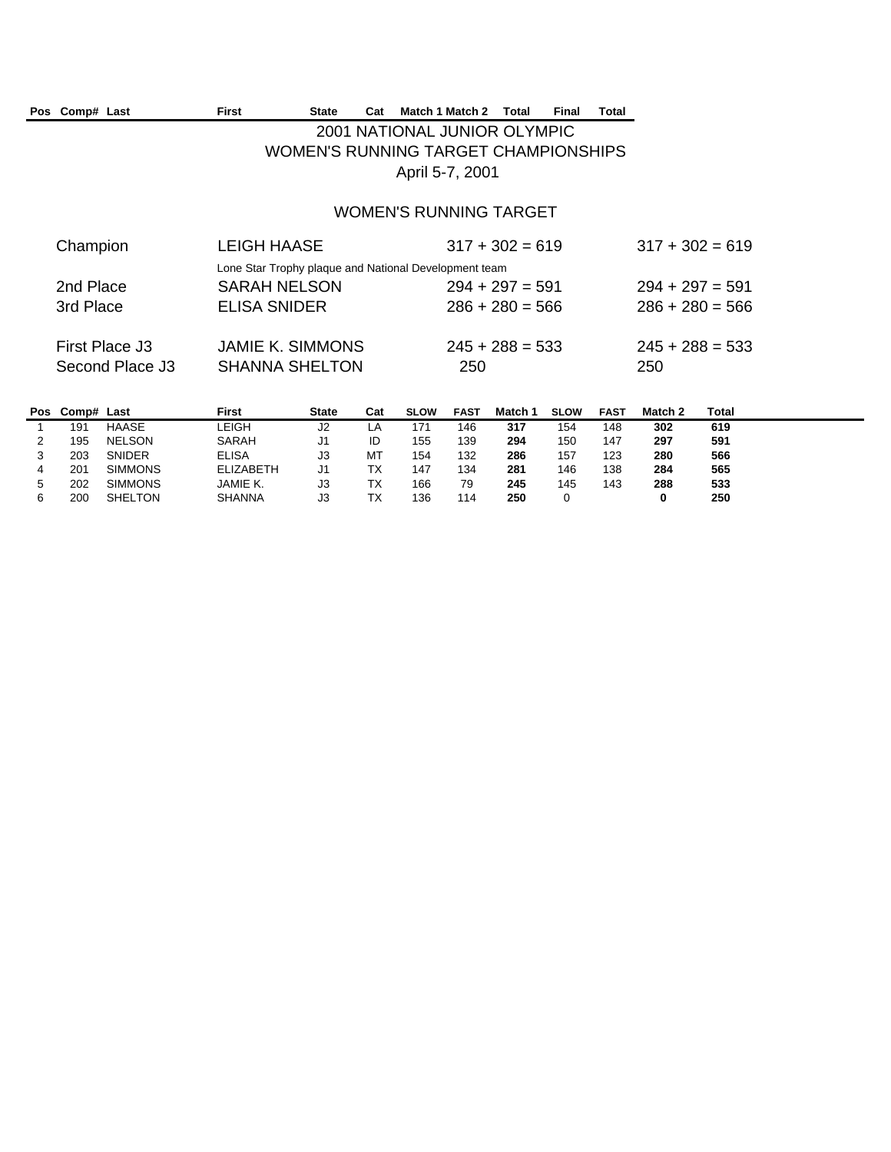| Pos Comp# Last  | First                   | State<br>Cat | Match 1 Match 2                                       | Total             | Final | Total |                   |
|-----------------|-------------------------|--------------|-------------------------------------------------------|-------------------|-------|-------|-------------------|
|                 |                         |              | 2001 NATIONAL JUNIOR OLYMPIC                          |                   |       |       |                   |
|                 |                         |              | WOMEN'S RUNNING TARGET CHAMPIONSHIPS                  |                   |       |       |                   |
|                 |                         |              | April 5-7, 2001                                       |                   |       |       |                   |
|                 |                         |              |                                                       |                   |       |       |                   |
|                 |                         |              | WOMEN'S RUNNING TARGET                                |                   |       |       |                   |
| Champion        | LEIGH HAASE             |              |                                                       | $317 + 302 = 619$ |       |       | $317 + 302 = 619$ |
|                 |                         |              | Lone Star Trophy plaque and National Development team |                   |       |       |                   |
| 2nd Place       | SARAH NELSON            |              |                                                       | $294 + 297 = 591$ |       |       | $294 + 297 = 591$ |
| 3rd Place       | ELISA SNIDER            |              |                                                       | $286 + 280 = 566$ |       |       | $286 + 280 = 566$ |
|                 |                         |              |                                                       |                   |       |       |                   |
| First Place J3  | <b>JAMIE K. SIMMONS</b> |              |                                                       | $245 + 288 = 533$ |       |       | $245 + 288 = 533$ |
| Second Place J3 | <b>SHANNA SHELTON</b>   |              | 250                                                   |                   |       |       | 250               |

| Pos | Comp# Last |                | First            | <b>State</b> | Cat | <b>SLOW</b> | <b>FAST</b> | Match 1 | <b>SLOW</b> | FAST | Match 2 | Total |
|-----|------------|----------------|------------------|--------------|-----|-------------|-------------|---------|-------------|------|---------|-------|
|     | 191        | HAASE          | -EIGH            | J2           | ட்ட | 171         | 146         | 317     | 154         | 148  | 302     | 619   |
|     | 195        | <b>NELSON</b>  | SARAH            | JI           | ID  | 155         | 139         | 294     | 150         | 147  | 297     | 591   |
|     | 203        | <b>SNIDER</b>  | <b>ELISA</b>     | JЗ           | МT  | 154         | 132         | 286     | 157         | 123  | 280     | 566   |
|     | 201        | <b>SIMMONS</b> | <b>ELIZABETH</b> | J1           | ТX  | 147         | 134         | 281     | 146         | 138  | 284     | 565   |
|     | 202        | <b>SIMMONS</b> | JAMIE K.         | JЗ           | ТX  | 166         | 79          | 245     | 145         | 143  | 288     | 533   |
|     | 200        | <b>SHELTON</b> | <b>SHANNA</b>    | JЗ           | ТX  | 136         | 114         | 250     |             |      |         | 250   |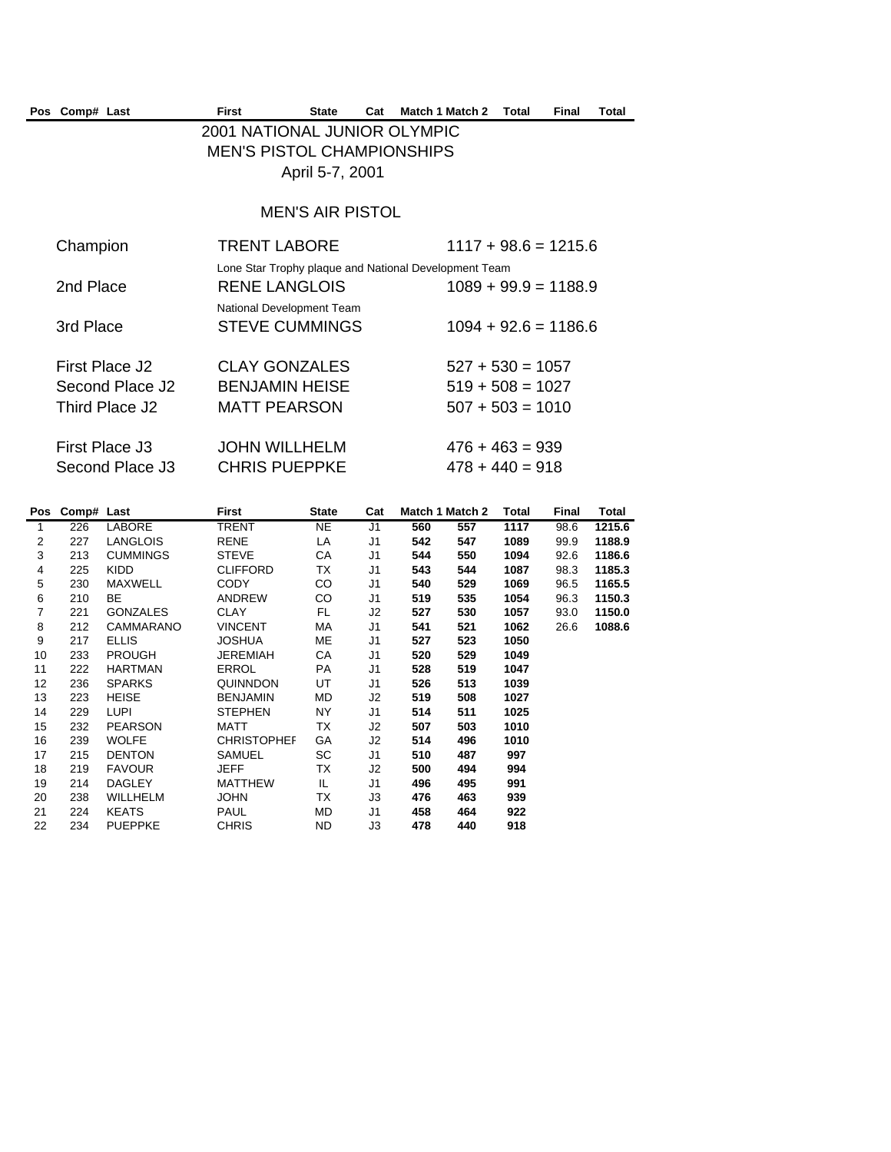| Pos Comp# Last  | First | <b>State</b>                 | Cat | Match 1 Match 2                                       | Total | Final | Total |
|-----------------|-------|------------------------------|-----|-------------------------------------------------------|-------|-------|-------|
|                 |       | 2001 NATIONAL JUNIOR OLYMPIC |     |                                                       |       |       |       |
|                 |       | MEN'S PISTOL CHAMPIONSHIPS   |     |                                                       |       |       |       |
|                 |       | April 5-7, 2001              |     |                                                       |       |       |       |
|                 |       |                              |     |                                                       |       |       |       |
|                 |       | <b>MEN'S AIR PISTOL</b>      |     |                                                       |       |       |       |
| Champion        |       | <b>TRENT LABORE</b>          |     | $1117 + 98.6 = 1215.6$                                |       |       |       |
|                 |       |                              |     | Lone Star Trophy plaque and National Development Team |       |       |       |
| 2nd Place       |       | RENE LANGLOIS                |     | $1089 + 99.9 = 1188.9$                                |       |       |       |
|                 |       | National Development Team    |     |                                                       |       |       |       |
| 3rd Place       |       | <b>STEVE CUMMINGS</b>        |     | $1094 + 92.6 = 1186.6$                                |       |       |       |
| First Place J2  |       | <b>CLAY GONZALES</b>         |     | $527 + 530 = 1057$                                    |       |       |       |
| Second Place J2 |       | <b>BENJAMIN HEISE</b>        |     | $519 + 508 = 1027$                                    |       |       |       |
| Third Place J2  |       | <b>MATT PEARSON</b>          |     | $507 + 503 = 1010$                                    |       |       |       |
|                 |       |                              |     |                                                       |       |       |       |
| First Place J3  |       | <b>JOHN WILLHELM</b>         |     | $476 + 463 = 939$                                     |       |       |       |
| Second Place J3 |       | <b>CHRIS PUEPPKE</b>         |     | $478 + 440 = 918$                                     |       |       |       |
|                 |       |                              |     |                                                       |       |       |       |

|    | Pos Comp# Last |                 | First              | <b>State</b> | Cat            |     | Match 1 Match 2 | Total | Final | Total  |
|----|----------------|-----------------|--------------------|--------------|----------------|-----|-----------------|-------|-------|--------|
| 1  | 226            | <b>LABORE</b>   | TRENT              | <b>NE</b>    | J1             | 560 | 557             | 1117  | 98.6  | 1215.6 |
| 2  | 227            | <b>LANGLOIS</b> | <b>RENE</b>        | LA           | J <sub>1</sub> | 542 | 547             | 1089  | 99.9  | 1188.9 |
| 3  | 213            | <b>CUMMINGS</b> | <b>STEVE</b>       | СA           | J1             | 544 | 550             | 1094  | 92.6  | 1186.6 |
| 4  | 225            | <b>KIDD</b>     | <b>CLIFFORD</b>    | ТX           | J1             | 543 | 544             | 1087  | 98.3  | 1185.3 |
| 5  | 230            | <b>MAXWELL</b>  | <b>CODY</b>        | CO           | J1             | 540 | 529             | 1069  | 96.5  | 1165.5 |
| 6  | 210            | BE.             | ANDREW             | CO           | J1             | 519 | 535             | 1054  | 96.3  | 1150.3 |
| 7  | 221            | <b>GONZALES</b> | <b>CLAY</b>        | FL.          | J2             | 527 | 530             | 1057  | 93.0  | 1150.0 |
| 8  | 212            | CAMMARANO       | <b>VINCENT</b>     | МA           | J1             | 541 | 521             | 1062  | 26.6  | 1088.6 |
| 9  | 217            | <b>ELLIS</b>    | <b>JOSHUA</b>      | MЕ           | J1             | 527 | 523             | 1050  |       |        |
| 10 | 233            | <b>PROUGH</b>   | <b>JEREMIAH</b>    | CA           | J1             | 520 | 529             | 1049  |       |        |
| 11 | 222            | <b>HARTMAN</b>  | <b>ERROL</b>       | PA           | J1             | 528 | 519             | 1047  |       |        |
| 12 | 236            | <b>SPARKS</b>   | QUINNDON           | UT           | J1             | 526 | 513             | 1039  |       |        |
| 13 | 223            | <b>HEISE</b>    | <b>BENJAMIN</b>    | MD.          | J2             | 519 | 508             | 1027  |       |        |
| 14 | 229            | <b>LUPI</b>     | <b>STEPHEN</b>     | NY.          | J1             | 514 | 511             | 1025  |       |        |
| 15 | 232            | <b>PEARSON</b>  | <b>MATT</b>        | ТX           | J2             | 507 | 503             | 1010  |       |        |
| 16 | 239            | <b>WOLFE</b>    | <b>CHRISTOPHEF</b> | GA           | J2             | 514 | 496             | 1010  |       |        |
| 17 | 215            | <b>DENTON</b>   | <b>SAMUEL</b>      | SC           | J1             | 510 | 487             | 997   |       |        |
| 18 | 219            | <b>FAVOUR</b>   | <b>JEFF</b>        | ТX           | J2             | 500 | 494             | 994   |       |        |
| 19 | 214            | DAGLEY          | <b>MATTHEW</b>     | IL.          | J1             | 496 | 495             | 991   |       |        |
| 20 | 238            | WILLHELM        | <b>JOHN</b>        | ТX           | J3             | 476 | 463             | 939   |       |        |
| 21 | 224            | <b>KEATS</b>    | <b>PAUL</b>        | MD           | J1             | 458 | 464             | 922   |       |        |
| 22 | 234            | <b>PUEPPKE</b>  | <b>CHRIS</b>       | ND.          | J3             | 478 | 440             | 918   |       |        |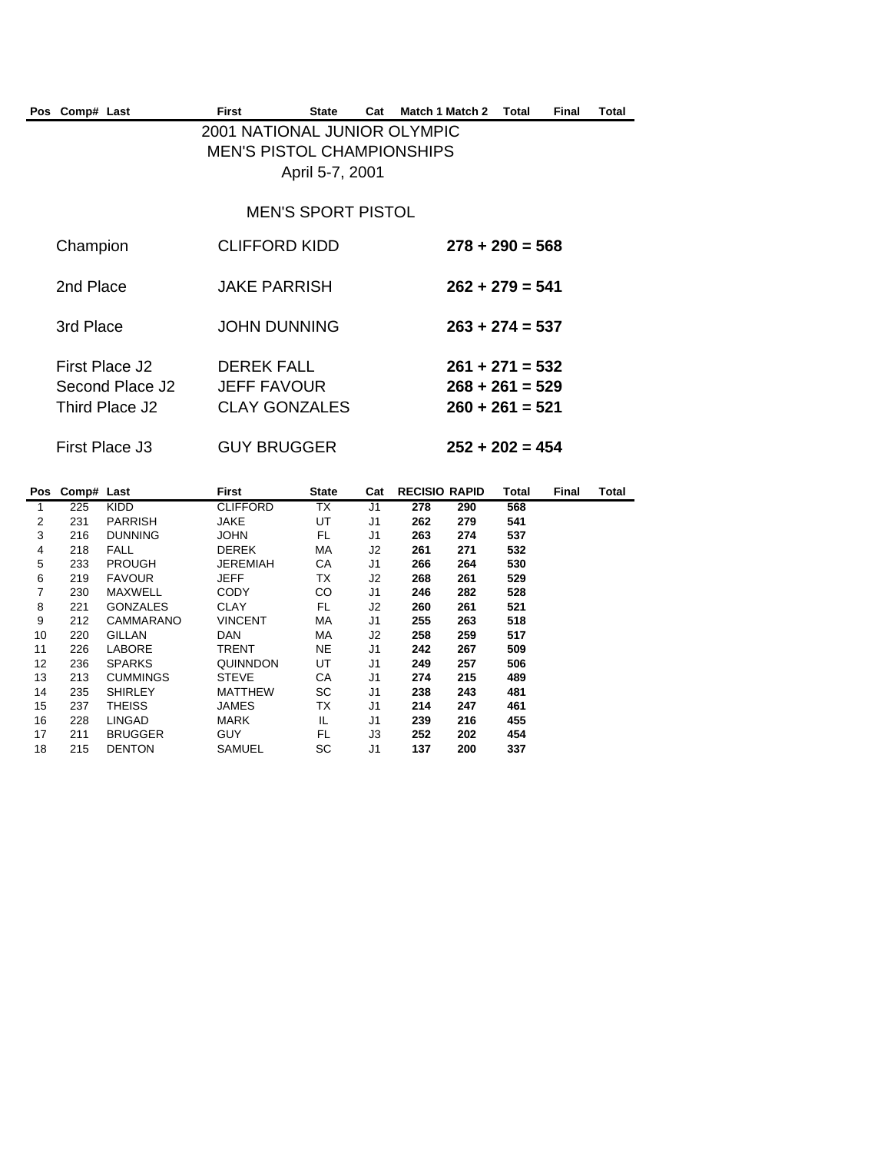| Pos Comp# Last                                      | First                                                             | <b>State</b>              | Cat | Match 1 Match 2 | Total                                                       | Final | Total |
|-----------------------------------------------------|-------------------------------------------------------------------|---------------------------|-----|-----------------|-------------------------------------------------------------|-------|-------|
|                                                     | 2001 NATIONAL JUNIOR OLYMPIC<br><b>MEN'S PISTOL CHAMPIONSHIPS</b> | April 5-7, 2001           |     |                 |                                                             |       |       |
|                                                     |                                                                   | <b>MEN'S SPORT PISTOL</b> |     |                 |                                                             |       |       |
| Champion                                            | <b>CLIFFORD KIDD</b>                                              |                           |     |                 | $278 + 290 = 568$                                           |       |       |
| 2nd Place                                           | <b>JAKE PARRISH</b>                                               |                           |     |                 | $262 + 279 = 541$                                           |       |       |
| 3rd Place                                           | <b>JOHN DUNNING</b>                                               |                           |     |                 | $263 + 274 = 537$                                           |       |       |
| First Place J2<br>Second Place J2<br>Third Place J2 | DEREK FALL<br><b>JEFF FAVOUR</b><br><b>CLAY GONZALES</b>          |                           |     |                 | $261 + 271 = 532$<br>$268 + 261 = 529$<br>$260 + 261 = 521$ |       |       |
| First Place J3                                      | <b>GUY BRUGGER</b>                                                |                           |     |                 | $252 + 202 = 454$                                           |       |       |

|                | Pos Comp# Last |                 | First           | <b>State</b> | Cat            | <b>RECISIO RAPID</b> |     | Total | Final | Total |
|----------------|----------------|-----------------|-----------------|--------------|----------------|----------------------|-----|-------|-------|-------|
|                | 225            | <b>KIDD</b>     | <b>CLIFFORD</b> | TX           | J1             | 278                  | 290 | 568   |       |       |
| $\overline{2}$ | 231            | <b>PARRISH</b>  | <b>JAKE</b>     | UT           | J <sub>1</sub> | 262                  | 279 | 541   |       |       |
| 3              | 216            | <b>DUNNING</b>  | <b>JOHN</b>     | FL.          | J1             | 263                  | 274 | 537   |       |       |
| 4              | 218            | <b>FALL</b>     | <b>DEREK</b>    | МA           | J2             | 261                  | 271 | 532   |       |       |
| 5              | 233            | <b>PROUGH</b>   | <b>JEREMIAH</b> | CA           | J1             | 266                  | 264 | 530   |       |       |
| 6              | 219            | <b>FAVOUR</b>   | <b>JEFF</b>     | TX           | J2             | 268                  | 261 | 529   |       |       |
| $\overline{7}$ | 230            | MAXWELL         | <b>CODY</b>     | CO           | J1             | 246                  | 282 | 528   |       |       |
| 8              | 221            | <b>GONZALES</b> | <b>CLAY</b>     | FL.          | J2             | 260                  | 261 | 521   |       |       |
| 9              | 212            | CAMMARANO       | <b>VINCENT</b>  | MA           | J1             | 255                  | 263 | 518   |       |       |
| 10             | 220            | <b>GILLAN</b>   | <b>DAN</b>      | MA.          | J2             | 258                  | 259 | 517   |       |       |
| 11             | 226            | <b>LABORE</b>   | TRENT           | NE           | J1             | 242                  | 267 | 509   |       |       |
| 12             | 236            | <b>SPARKS</b>   | QUINNDON        | UT           | J <sub>1</sub> | 249                  | 257 | 506   |       |       |
| 13             | 213            | <b>CUMMINGS</b> | <b>STEVE</b>    | СA           | J <sub>1</sub> | 274                  | 215 | 489   |       |       |
| 14             | 235            | <b>SHIRLEY</b>  | <b>MATTHEW</b>  | SC           | J1             | 238                  | 243 | 481   |       |       |
| 15             | 237            | <b>THEISS</b>   | JAMES           | ТX           | J1             | 214                  | 247 | 461   |       |       |
| 16             | 228            | <b>LINGAD</b>   | MARK            | IL.          | J1             | 239                  | 216 | 455   |       |       |
| 17             | 211            | <b>BRUGGER</b>  | <b>GUY</b>      | FL           | JЗ             | 252                  | 202 | 454   |       |       |
| 18             | 215            | <b>DENTON</b>   | SAMUEL          | SC           | J <sub>1</sub> | 137                  | 200 | 337   |       |       |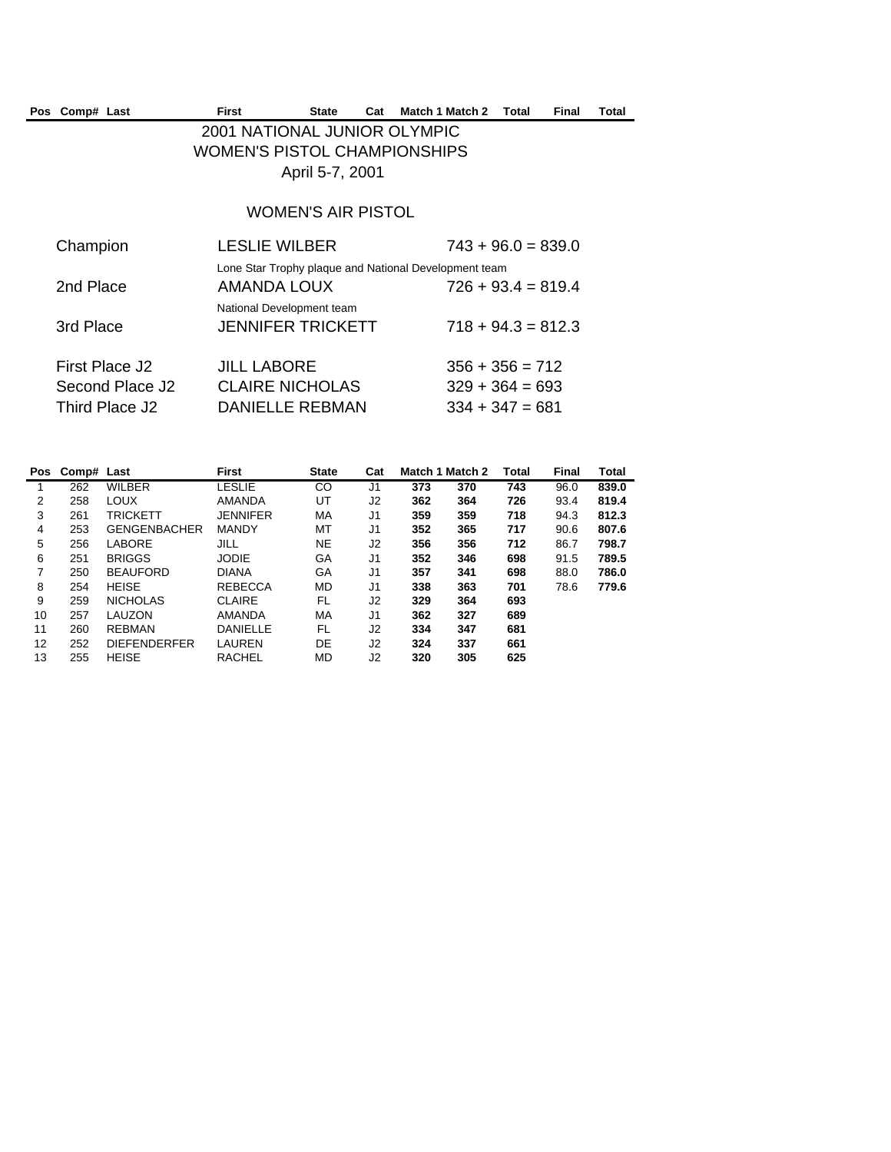| Pos Comp# Last | First | State | Cat | Match 1 Match 2 | Total | Final | Total |
|----------------|-------|-------|-----|-----------------|-------|-------|-------|
|                |       |       |     |                 |       |       |       |

## 2001 NATIONAL JUNIOR OLYMPIC WOMEN'S PISTOL CHAMPIONSHIPS April 5-7, 2001

## WOMEN'S AIR PISTOL

| Champion                          | <b>LESLIE WILBER</b>                                                        | $743 + 96.0 = 839.0$                   |
|-----------------------------------|-----------------------------------------------------------------------------|----------------------------------------|
| 2nd Place                         | Lone Star Trophy plaque and National Development team<br><b>AMANDA LOUX</b> | $726 + 93.4 = 819.4$                   |
| 3rd Place                         | National Development team<br><b>JENNIFER TRICKETT</b>                       | $718 + 94.3 = 812.3$                   |
| First Place J2                    | <b>JILL LABORE</b>                                                          | $356 + 356 = 712$                      |
| Second Place J2<br>Third Place J2 | <b>CLAIRE NICHOLAS</b><br><b>DANIELLE REBMAN</b>                            | $329 + 364 = 693$<br>$334 + 347 = 681$ |
|                                   |                                                                             |                                        |

| Pos | Comp# Last |                     | <b>First</b>    | <b>State</b> | Cat            | Match 1 Match 2 |     | <b>Total</b> | <b>Final</b> | Total |
|-----|------------|---------------------|-----------------|--------------|----------------|-----------------|-----|--------------|--------------|-------|
|     | 262        | <b>WILBER</b>       | LESLIE          | CO           | J <sub>1</sub> | 373             | 370 | 743          | 96.0         | 839.0 |
| 2   | 258        | <b>LOUX</b>         | <b>AMANDA</b>   | UT           | J2             | 362             | 364 | 726          | 93.4         | 819.4 |
| 3   | 261        | <b>TRICKETT</b>     | <b>JENNIFER</b> | МA           | J1             | 359             | 359 | 718          | 94.3         | 812.3 |
| 4   | 253        | <b>GENGENBACHER</b> | <b>MANDY</b>    | МT           | J1             | 352             | 365 | 717          | 90.6         | 807.6 |
| 5   | 256        | <b>LABORE</b>       | JILL            | NE           | J2             | 356             | 356 | 712          | 86.7         | 798.7 |
| 6   | 251        | <b>BRIGGS</b>       | <b>JODIE</b>    | GA           | J1             | 352             | 346 | 698          | 91.5         | 789.5 |
| 7   | 250        | <b>BEAUFORD</b>     | <b>DIANA</b>    | GA           | J1             | 357             | 341 | 698          | 88.0         | 786.0 |
| 8   | 254        | <b>HEISE</b>        | <b>REBECCA</b>  | MD           | J <sub>1</sub> | 338             | 363 | 701          | 78.6         | 779.6 |
| 9   | 259        | <b>NICHOLAS</b>     | <b>CLAIRE</b>   | FL           | J2             | 329             | 364 | 693          |              |       |
| 10  | 257        | LAUZON              | <b>AMANDA</b>   | МA           | J1             | 362             | 327 | 689          |              |       |
| 11  | 260        | <b>REBMAN</b>       | <b>DANIELLE</b> | FL.          | J2             | 334             | 347 | 681          |              |       |
| 12  | 252        | <b>DIEFENDERFER</b> | LAUREN          | DE           | J2             | 324             | 337 | 661          |              |       |
| 13  | 255        | <b>HEISE</b>        | <b>RACHEL</b>   | MD           | J2             | 320             | 305 | 625          |              |       |